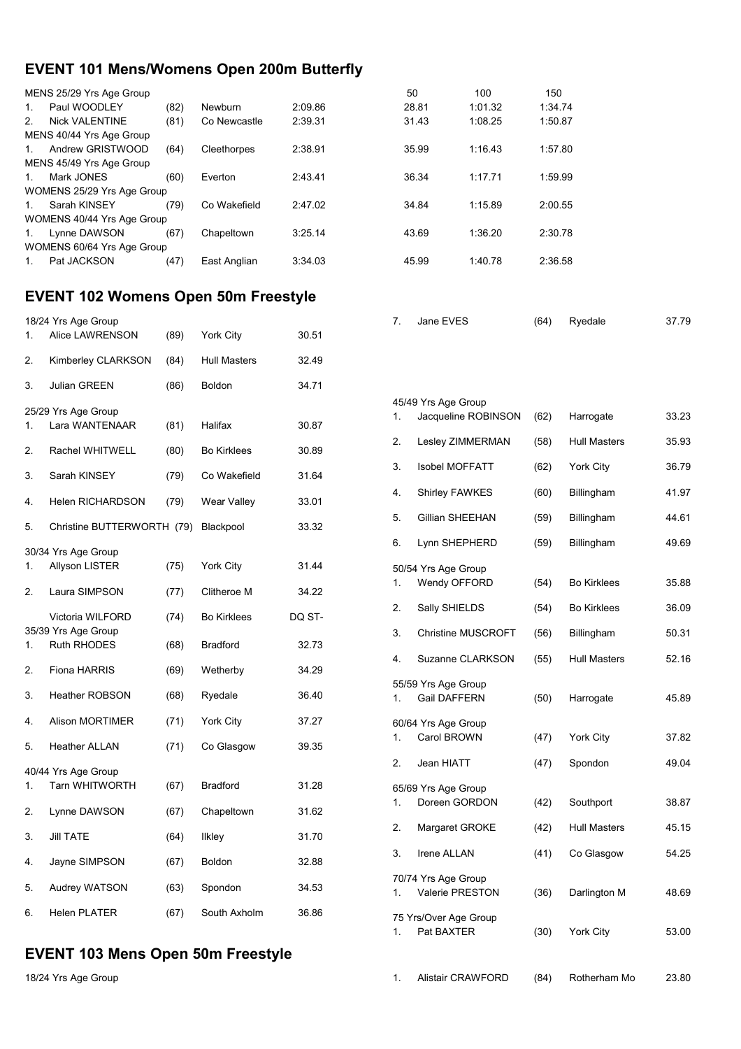### **EVENT 101 Mens/Womens Open 200m Butterfly**

|                | MENS 25/29 Yrs Age Group   |      |              |         | 50    | 100     | 150     |
|----------------|----------------------------|------|--------------|---------|-------|---------|---------|
| 1.             | Paul WOODLEY               | (82) | Newburn      | 2:09.86 | 28.81 | 1:01.32 | 1:34.74 |
| 2 <sub>1</sub> | <b>Nick VALENTINE</b>      | (81) | Co Newcastle | 2:39.31 | 31.43 | 1:08.25 | 1:50.87 |
|                | MENS 40/44 Yrs Age Group   |      |              |         |       |         |         |
| 1.             | Andrew GRISTWOOD           | (64) | Cleethorpes  | 2:38.91 | 35.99 | 1:16.43 | 1:57.80 |
|                | MENS 45/49 Yrs Age Group   |      |              |         |       |         |         |
| 1.             | Mark JONES                 | (60) | Everton      | 2:43.41 | 36.34 | 1:17.71 | 1:59.99 |
|                | WOMENS 25/29 Yrs Age Group |      |              |         |       |         |         |
| $1_{\cdot}$    | Sarah KINSEY               | (79) | Co Wakefield | 2:47.02 | 34.84 | 1:15.89 | 2:00.55 |
|                | WOMENS 40/44 Yrs Age Group |      |              |         |       |         |         |
| 1.             | Lynne DAWSON               | (67) | Chapeltown   | 3:25.14 | 43.69 | 1:36.20 | 2:30.78 |
|                | WOMENS 60/64 Yrs Age Group |      |              |         |       |         |         |
|                | Pat JACKSON                | (47) | East Anglian | 3:34.03 | 45.99 | 1:40.78 | 2:36.58 |
|                |                            |      |              |         |       |         |         |

### **EVENT 102 Womens Open 50m Freestyle**

|    | 18/24 Yrs Age Group                       |      |                     |        |
|----|-------------------------------------------|------|---------------------|--------|
| 1. | Alice LAWRENSON                           | (89) | <b>York City</b>    | 30.51  |
| 2. | Kimberley CLARKSON                        | (84) | <b>Hull Masters</b> | 32.49  |
| 3. | <b>Julian GREEN</b>                       | (86) | <b>Boldon</b>       | 34.71  |
|    | 25/29 Yrs Age Group                       |      |                     |        |
| 1. | Lara WANTENAAR                            | (81) | Halifax             | 30.87  |
| 2. | Rachel WHITWELL                           | (80) | <b>Bo Kirklees</b>  | 30.89  |
| 3. | Sarah KINSEY                              | (79) | Co Wakefield        | 31.64  |
| 4. | <b>Helen RICHARDSON</b>                   | (79) | <b>Wear Valley</b>  | 33.01  |
| 5. | Christine BUTTERWORTH (79)                |      | Blackpool           | 33.32  |
|    | 30/34 Yrs Age Group                       |      |                     |        |
| 1. | <b>Allyson LISTER</b>                     | (75) | York City           | 31.44  |
| 2. | Laura SIMPSON                             | (77) | Clitheroe M         | 34.22  |
|    | Victoria WILFORD                          | (74) | <b>Bo Kirklees</b>  | DQ ST- |
| 1. | 35/39 Yrs Age Group<br><b>Ruth RHODES</b> | (68) | <b>Bradford</b>     | 32.73  |
| 2. | Fiona HARRIS                              | (69) | Wetherby            | 34.29  |
| 3. | <b>Heather ROBSON</b>                     | (68) | Ryedale             | 36.40  |
| 4. | <b>Alison MORTIMER</b>                    | (71) | York City           | 37.27  |
| 5. | <b>Heather ALLAN</b>                      | (71) | Co Glasgow          | 39.35  |
|    | 40/44 Yrs Age Group                       |      |                     |        |
| 1. | <b>Tarn WHITWORTH</b>                     | (67) | <b>Bradford</b>     | 31.28  |
| 2. | Lynne DAWSON                              | (67) | Chapeltown          | 31.62  |
| 3. | <b>JIII TATE</b>                          | (64) | <b>Ilkley</b>       | 31.70  |
| 4. | Jayne SIMPSON                             | (67) | Boldon              | 32.88  |
| 5. | Audrey WATSON                             | (63) | Spondon             | 34.53  |
| 6. | <b>Helen PLATER</b>                       | (67) | South Axholm        | 36.86  |

### **EVENT 103 Mens Open 50m Freestyle**

| ა. | Julian GREEN                             | (ö0) | <b>BOIGOU</b>      | 34.7T  |    |                                        |      |                     |       |
|----|------------------------------------------|------|--------------------|--------|----|----------------------------------------|------|---------------------|-------|
|    |                                          |      |                    |        |    | 45/49 Yrs Age Group                    |      |                     |       |
| 1. | 25/29 Yrs Age Group<br>Lara WANTENAAR    | (81) | Halifax            | 30.87  | 1. | Jacqueline ROBINSON                    | (62) | Harrogate           | 33.23 |
| 2. | Rachel WHITWELL                          | (80) | <b>Bo Kirklees</b> | 30.89  | 2. | Lesley ZIMMERMAN                       | (58) | <b>Hull Masters</b> | 35.93 |
| 3. | Sarah KINSEY                             | (79) | Co Wakefield       | 31.64  | 3. | <b>Isobel MOFFATT</b>                  | (62) | York City           | 36.79 |
| 4. | <b>Helen RICHARDSON</b>                  | (79) | Wear Valley        | 33.01  | 4. | Shirley FAWKES                         | (60) | Billingham          | 41.97 |
| 5. | Christine BUTTERWORTH (79)               |      | Blackpool          | 33.32  | 5. | Gillian SHEEHAN                        | (59) | Billingham          | 44.61 |
|    |                                          |      |                    |        | 6. | Lynn SHEPHERD                          | (59) | Billingham          | 49.69 |
|    | 30/34 Yrs Age Group                      |      |                    |        |    |                                        |      |                     |       |
| 1. | <b>Allyson LISTER</b>                    | (75) | York City          | 31.44  |    | 50/54 Yrs Age Group                    |      |                     |       |
| 2. | Laura SIMPSON                            | (77) | Clitheroe M        | 34.22  | 1. | Wendy OFFORD                           | (54) | <b>Bo Kirklees</b>  | 35.88 |
|    | Victoria WILFORD                         | (74) | <b>Bo Kirklees</b> | DQ ST- | 2. | Sally SHIELDS                          | (54) | <b>Bo Kirklees</b>  | 36.09 |
|    | 35/39 Yrs Age Group                      |      |                    |        | 3. | <b>Christine MUSCROFT</b>              | (56) | <b>Billingham</b>   | 50.31 |
| 1. | <b>Ruth RHODES</b>                       | (68) | <b>Bradford</b>    | 32.73  |    |                                        |      | <b>Hull Masters</b> |       |
| 2. | Fiona HARRIS                             | (69) | Wetherby           | 34.29  | 4. | Suzanne CLARKSON                       | (55) |                     | 52.16 |
| 3. | <b>Heather ROBSON</b>                    | (68) | Ryedale            | 36.40  | 1. | 55/59 Yrs Age Group<br>Gail DAFFERN    | (50) | Harrogate           | 45.89 |
| 4. | <b>Alison MORTIMER</b>                   | (71) | York City          | 37.27  |    | 60/64 Yrs Age Group                    |      |                     |       |
| 5. | <b>Heather ALLAN</b>                     | (71) | Co Glasgow         | 39.35  | 1. | Carol BROWN                            | (47) | York City           | 37.82 |
|    | 40/44 Yrs Age Group                      |      |                    |        | 2. | Jean HIATT                             | (47) | Spondon             | 49.04 |
| 1. | <b>Tarn WHITWORTH</b>                    | (67) | <b>Bradford</b>    | 31.28  |    | 65/69 Yrs Age Group                    |      |                     |       |
|    |                                          |      |                    |        | 1. | Doreen GORDON                          | (42) | Southport           | 38.87 |
| 2. | Lynne DAWSON                             | (67) | Chapeltown         | 31.62  | 2. |                                        |      |                     |       |
| 3. | <b>Jill TATE</b>                         | (64) | <b>Ilkley</b>      | 31.70  |    | Margaret GROKE                         | (42) | <b>Hull Masters</b> | 45.15 |
| 4. | Jayne SIMPSON                            | (67) | Boldon             | 32.88  | 3. | Irene ALLAN                            | (41) | Co Glasgow          | 54.25 |
| 5. | Audrey WATSON                            | (63) | Spondon            | 34.53  | 1. | 70/74 Yrs Age Group<br>Valerie PRESTON | (36) | Darlington M        | 48.69 |
| 6. | <b>Helen PLATER</b>                      | (67) | South Axholm       | 36.86  |    |                                        |      |                     |       |
|    |                                          |      |                    |        | 1. | 75 Yrs/Over Age Group<br>Pat BAXTER    | (30) | York City           | 53.00 |
|    | <b>EVENT 103 Mens Open 50m Freestyle</b> |      |                    |        |    |                                        |      |                     |       |
|    | 18/24 Yrs Age Group                      |      |                    |        | 1. | <b>Alistair CRAWFORD</b>               | (84) | Rotherham Mo        | 23.80 |

7. Jane EVES (64) Ryedale 37.79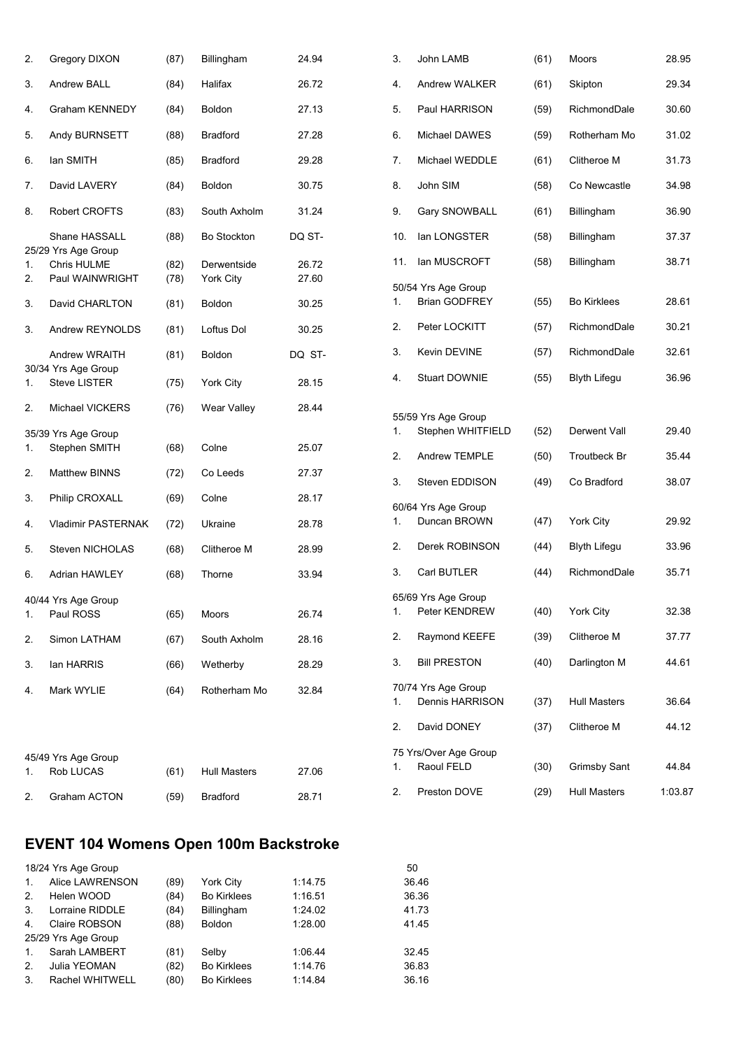| 2.       | Gregory DIXON                                         | (87)         | Billingham               | 24.94          | 3.                   |
|----------|-------------------------------------------------------|--------------|--------------------------|----------------|----------------------|
| 3.       | Andrew BALL                                           | (84)         | Halifax                  | 26.72          | 4.                   |
| 4.       | <b>Graham KENNEDY</b>                                 | (84)         | Boldon                   | 27.13          | 5.                   |
| 5.       | Andy BURNSETT                                         | (88)         | <b>Bradford</b>          | 27.28          | 6.                   |
| 6.       | lan SMITH                                             | (85)         | Bradford                 | 29.28          | 7.                   |
| 7.       | David LAVERY                                          | (84)         | Boldon                   | 30.75          | 8.                   |
| 8.       | Robert CROFTS                                         | (83)         | South Axholm             | 31.24          | 9.                   |
|          | Shane HASSALL                                         | (88)         | Bo Stockton              | DQ ST-         | 1(                   |
| 1.<br>2. | 25/29 Yrs Age Group<br>Chris HULME<br>Paul WAINWRIGHT | (82)<br>(78) | Derwentside<br>York City | 26.72<br>27.60 | 1 <sup>1</sup><br>50 |
| 3.       | David CHARLTON                                        | (81)         | Boldon                   | 30.25          | 1.                   |
| 3.       | Andrew REYNOLDS                                       | (81)         | Loftus Dol               | 30.25          | 2.                   |
|          | Andrew WRAITH                                         | (81)         | <b>Boldon</b>            | DQ ST-         | 3.                   |
| 1.       | 30/34 Yrs Age Group<br>Steve LISTER                   | (75)         | York City                | 28.15          | 4.                   |
| 2.       | Michael VICKERS                                       | (76)         | Wear Valley              | 28.44          | 55                   |
| 1.       | 35/39 Yrs Age Group<br>Stephen SMITH                  | (68)         | Colne                    | 25.07          | 1.<br>2.             |
| 2.       | Matthew BINNS                                         | (72)         | Co Leeds                 | 27.37          | 3.                   |
| 3.       | Philip CROXALL                                        | (69)         | Colne                    | 28.17          | 60                   |
| 4.       | Vladimir PASTERNAK                                    | (72)         | Ukraine                  | 28.78          | 1.                   |
| 5.       | Steven NICHOLAS                                       | (68)         | Clitheroe M              | 28.99          | 2.                   |
| 6.       | Adrian HAWLEY                                         | (68)         | Thorne                   | 33.94          | 3.                   |
| 1.       | 40/44 Yrs Age Group<br>Paul ROSS                      | (65)         | Moors                    | 26.74          | 65<br>1.             |
| 2.       | Simon LATHAM                                          | (67)         | South Axholm             | 28.16          | 2.                   |
| 3.       | lan HARRIS                                            | (66)         | Wetherby                 | 28.29          | 3.                   |
| 4.       | Mark WYLIE                                            | (64)         | Rotherham Mo             | 32.84          | 70<br>1.             |
|          |                                                       |              |                          |                | 2.                   |
|          | 45/49 Yrs Age Group                                   |              |                          |                | 75                   |
| 1.       | Rob LUCAS                                             | (61)         | <b>Hull Masters</b>      | 27.06          | 1.                   |
| 2.       | Graham ACTON                                          | (59)         | Bradford                 | 28.71          | 2.                   |

| <b>EVENT 104 Womens Open 100m Backstroke</b> |  |
|----------------------------------------------|--|
|----------------------------------------------|--|

|                | 18/24 Yrs Age Group |      |                    |         | 50    |
|----------------|---------------------|------|--------------------|---------|-------|
| 1.             | Alice LAWRENSON     | (89) | York City          | 1:14.75 | 36.46 |
| 2 <sub>1</sub> | Helen WOOD          | (84) | <b>Bo Kirklees</b> | 1:16.51 | 36.36 |
| 3.             | Lorraine RIDDLE     | (84) | Billingham         | 1:24.02 | 41.73 |
| 4.             | Claire ROBSON       | (88) | <b>Boldon</b>      | 1:28.00 | 41.45 |
|                | 25/29 Yrs Age Group |      |                    |         |       |
| $\mathbf{1}$ . | Sarah LAMBERT       | (81) | Selby              | 1:06.44 | 32.45 |
| 2.             | Julia YEOMAN        | (82) | <b>Bo Kirklees</b> | 1:14.76 | 36.83 |
| 3.             | Rachel WHITWELL     | (80) | <b>Bo Kirklees</b> | 1:14.84 | 36.16 |
|                |                     |      |                    |         |       |

| 3.  | John LAMB                                   | (61) | Moors               | 28.95   |
|-----|---------------------------------------------|------|---------------------|---------|
| 4.  | Andrew WALKER                               | (61) | Skipton             | 29.34   |
| 5.  | Paul HARRISON                               | (59) | RichmondDale        | 30.60   |
| 6.  | Michael DAWES                               | (59) | Rotherham Mo        | 31.02   |
| 7.  | Michael WEDDLE                              | (61) | Clitheroe M         | 31.73   |
| 8.  | John SIM                                    | (58) | Co Newcastle        | 34.98   |
| 9.  | Gary SNOWBALL                               | (61) | Billingham          | 36.90   |
| 10. | lan LONGSTER                                | (58) | Billingham          | 37.37   |
| 11. | lan MUSCROFT                                | (58) | Billingham          | 38.71   |
| 1.  | 50/54 Yrs Age Group<br><b>Brian GODFREY</b> | (55) | <b>Bo Kirklees</b>  | 28.61   |
| 2.  | Peter LOCKITT                               | (57) | RichmondDale        | 30.21   |
| 3.  | Kevin DEVINE                                | (57) | RichmondDale        | 32.61   |
| 4.  | Stuart DOWNIE                               | (55) | <b>Blyth Lifegu</b> | 36.96   |
| 1.  | 55/59 Yrs Age Group<br>Stephen WHITFIELD    | (52) | Derwent Vall        | 29.40   |
| 2.  | Andrew TEMPLE                               | (50) | Troutbeck Br        | 35.44   |
| 3.  | Steven EDDISON                              | (49) | Co Bradford         | 38.07   |
| 1.  | 60/64 Yrs Age Group<br>Duncan BROWN         | (47) | York City           | 29.92   |
| 2.  | Derek ROBINSON                              | (44) | <b>Blyth Lifegu</b> | 33.96   |
| 3.  | Carl BUTLER                                 | (44) | RichmondDale        | 35.71   |
| 1.  | 65/69 Yrs Age Group<br>Peter KENDREW        | (40) | York City           | 32.38   |
| 2.  | Raymond KEEFE                               | (39) | Clitheroe M         | 37.77   |
| 3.  | <b>Bill PRESTON</b>                         | (40) | Darlington M        | 44.61   |
| 1.  | 70/74 Yrs Age Group<br>Dennis HARRISON      | (37) | Hull Masters        | 36.64   |
| 2.  | David DONEY                                 | (37) | Clitheroe M         | 44.12   |
| 1.  | 75 Yrs/Over Age Group<br>Raoul FELD         | (30) | Grimsby Sant        | 44.84   |
| 2.  | Preston DOVE                                | (29) | Hull Masters        | 1:03.87 |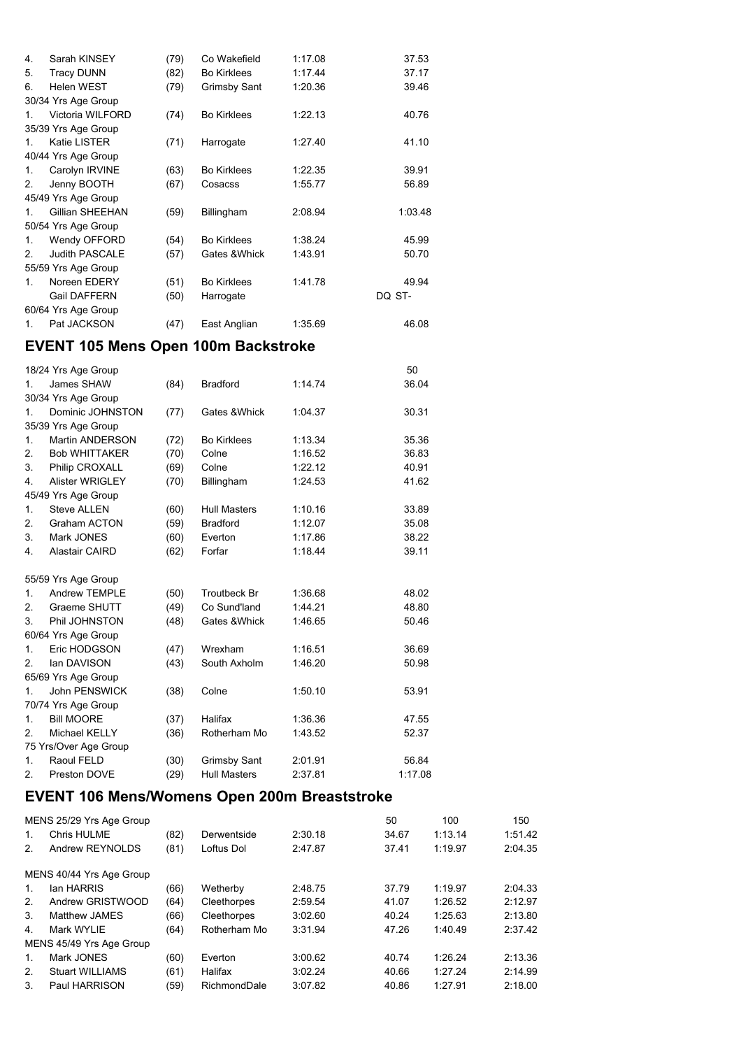| 4.             | Sarah KINSEY          | (79) | Co Wakefield        | 1:17.08 | 37.53   |
|----------------|-----------------------|------|---------------------|---------|---------|
| 5.             | <b>Tracy DUNN</b>     | (82) | <b>Bo Kirklees</b>  | 1:17.44 | 37.17   |
| 6.             | <b>Helen WEST</b>     | (79) | <b>Grimsby Sant</b> | 1:20.36 | 39.46   |
|                | 30/34 Yrs Age Group   |      |                     |         |         |
| 1              | Victoria WILFORD      | (74) | <b>Bo Kirklees</b>  | 1:22.13 | 40.76   |
|                | 35/39 Yrs Age Group   |      |                     |         |         |
| 1              | <b>Katie LISTER</b>   | (71) | Harrogate           | 1:27.40 | 41.10   |
|                | 40/44 Yrs Age Group   |      |                     |         |         |
| 1.             | Carolyn IRVINE        | (63) | <b>Bo Kirklees</b>  | 1:22.35 | 39.91   |
| 2 <sup>2</sup> | Jenny BOOTH           | (67) | Cosacss             | 1:55.77 | 56.89   |
|                | 45/49 Yrs Age Group   |      |                     |         |         |
| $\mathbf{1}$   | Gillian SHEEHAN       | (59) | Billingham          | 2:08.94 | 1:03.48 |
|                | 50/54 Yrs Age Group   |      |                     |         |         |
| 1.             | Wendy OFFORD          | (54) | <b>Bo Kirklees</b>  | 1:38.24 | 45.99   |
| 2              | <b>Judith PASCALE</b> | (57) | Gates & Whick       | 1:43.91 | 50.70   |
|                | 55/59 Yrs Age Group   |      |                     |         |         |
| 1              | Noreen EDERY          | (51) | <b>Bo Kirklees</b>  | 1:41.78 | 49.94   |
|                | <b>Gail DAFFERN</b>   | (50) | Harrogate           |         | DQ ST-  |
|                | 60/64 Yrs Age Group   |      |                     |         |         |
| 1              | Pat JACKSON           | (47) | East Anglian        | 1:35.69 | 46.08   |
|                |                       |      |                     |         |         |

#### **EVENT 105 Mens Open 100m Backstroke**

|                | 18/24 Yrs Age Group    |      |                     |         | 50      |
|----------------|------------------------|------|---------------------|---------|---------|
| 1.             | James SHAW             | (84) | <b>Bradford</b>     | 1:14.74 | 36.04   |
|                | 30/34 Yrs Age Group    |      |                     |         |         |
| 1.             | Dominic JOHNSTON       | (77) | Gates & Whick       | 1:04.37 | 30.31   |
|                | 35/39 Yrs Age Group    |      |                     |         |         |
| 1.             | <b>Martin ANDERSON</b> | (72) | <b>Bo Kirklees</b>  | 1:13.34 | 35.36   |
| 2.             | <b>Bob WHITTAKER</b>   | (70) | Colne               | 1:16.52 | 36.83   |
| 3.             | Philip CROXALL         | (69) | Colne               | 1:22.12 | 40.91   |
| 4.             | <b>Alister WRIGLEY</b> | (70) | Billingham          | 1:24.53 | 41.62   |
|                | 45/49 Yrs Age Group    |      |                     |         |         |
| 1.             | <b>Steve ALLEN</b>     | (60) | <b>Hull Masters</b> | 1:10.16 | 33.89   |
| 2.             | <b>Graham ACTON</b>    | (59) | <b>Bradford</b>     | 1:12.07 | 35.08   |
| 3.             | Mark JONES             | (60) | Everton             | 1:17.86 | 38.22   |
| 4.             | <b>Alastair CAIRD</b>  | (62) | Forfar              | 1:18.44 | 39.11   |
|                |                        |      |                     |         |         |
|                | 55/59 Yrs Age Group    |      |                     |         |         |
| 1.             | Andrew TEMPLE          | (50) | <b>Troutbeck Br</b> | 1:36.68 | 48.02   |
| $\mathbf{2}$   | Graeme SHUTT           | (49) | Co Sund'land        | 1:44.21 | 48.80   |
| 3.             | Phil JOHNSTON          | (48) | Gates & Whick       | 1:46.65 | 50.46   |
|                | 60/64 Yrs Age Group    |      |                     |         |         |
| $\mathbf{1}$ . | Eric HODGSON           | (47) | Wrexham             | 1:16.51 | 36.69   |
| $\mathbf{2}$   | lan DAVISON            | (43) | South Axholm        | 1:46.20 | 50.98   |
|                | 65/69 Yrs Age Group    |      |                     |         |         |
| $\mathbf{1}$ . | <b>John PENSWICK</b>   | (38) | Colne               | 1:50.10 | 53.91   |
|                | 70/74 Yrs Age Group    |      |                     |         |         |
| $\mathbf{1}$ . | <b>Bill MOORE</b>      | (37) | Halifax             | 1:36.36 | 47.55   |
| 2.             | Michael KELLY          | (36) | Rotherham Mo        | 1:43.52 | 52.37   |
|                | 75 Yrs/Over Age Group  |      |                     |         |         |
| 1.             | Raoul FELD             | (30) | <b>Grimsby Sant</b> | 2:01.91 | 56.84   |
| 2.             | Preston DOVE           | (29) | <b>Hull Masters</b> | 2:37.81 | 1:17.08 |
|                |                        |      |                     |         |         |

### **EVENT 106 Mens/Womens Open 200m Breaststroke**

|             | MENS 25/29 Yrs Age Group |      |              |         | 50    | 100     | 150     |
|-------------|--------------------------|------|--------------|---------|-------|---------|---------|
| $1_{\cdot}$ | Chris HULME              | (82) | Derwentside  | 2:30.18 | 34.67 | 1:13.14 | 1:51.42 |
| 2.          | Andrew REYNOLDS          | (81) | Loftus Dol   | 2:47.87 | 37.41 | 1:19.97 | 2:04.35 |
|             | MENS 40/44 Yrs Age Group |      |              |         |       |         |         |
| 1.          | lan HARRIS               | (66) | Wetherby     | 2:48.75 | 37.79 | 1:19.97 | 2:04.33 |
| 2.          | Andrew GRISTWOOD         | (64) | Cleethorpes  | 2:59.54 | 41.07 | 1:26.52 | 2:12.97 |
| 3.          | Matthew JAMES            | (66) | Cleethorpes  | 3:02.60 | 40.24 | 1:25.63 | 2:13.80 |
| 4.          | Mark WYLIE               | (64) | Rotherham Mo | 3:31.94 | 47.26 | 1:40.49 | 2:37.42 |
|             | MENS 45/49 Yrs Age Group |      |              |         |       |         |         |
| $1_{\cdot}$ | Mark JONES               | (60) | Everton      | 3:00.62 | 40.74 | 1:26.24 | 2:13.36 |
| 2.          | <b>Stuart WILLIAMS</b>   | (61) | Halifax      | 3:02.24 | 40.66 | 1:27.24 | 2:14.99 |
| 3.          | Paul HARRISON            | (59) | RichmondDale | 3:07.82 | 40.86 | 1:27.91 | 2:18.00 |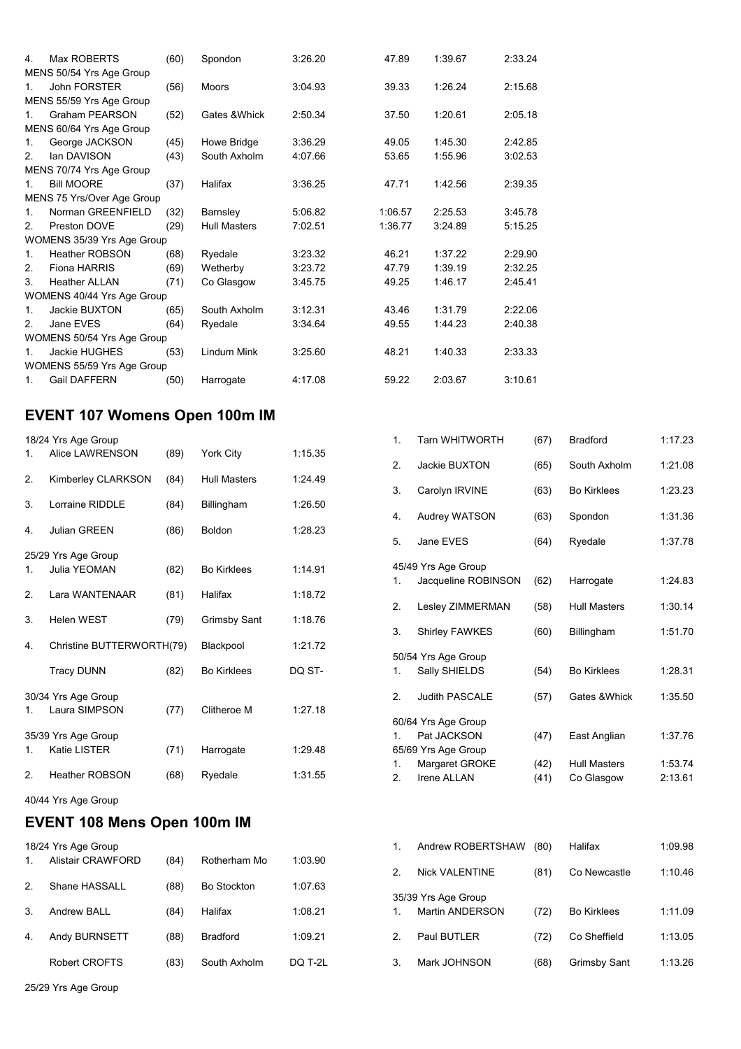| 4.             | Max ROBERTS                | (60) | Spondon             | 3:26.20 | 47.89   | 1:39.67 | 2:33.24 |
|----------------|----------------------------|------|---------------------|---------|---------|---------|---------|
|                | MENS 50/54 Yrs Age Group   |      |                     |         |         |         |         |
| $1_{-}$        | <b>John FORSTER</b>        | (56) | <b>Moors</b>        | 3:04.93 | 39.33   | 1:26.24 | 2:15.68 |
|                | MENS 55/59 Yrs Age Group   |      |                     |         |         |         |         |
| $1_{-}$        | Graham PEARSON             | (52) | Gates & Whick       | 2:50.34 | 37.50   | 1:20.61 | 2:05.18 |
|                | MENS 60/64 Yrs Age Group   |      |                     |         |         |         |         |
| 1.             | George JACKSON             | (45) | Howe Bridge         | 3:36.29 | 49.05   | 1:45.30 | 2:42.85 |
| $\mathcal{P}$  | lan DAVISON                | (43) | South Axholm        | 4:07.66 | 53.65   | 1:55.96 | 3:02.53 |
|                | MENS 70/74 Yrs Age Group   |      |                     |         |         |         |         |
| 1              | <b>Bill MOORE</b>          | (37) | Halifax             | 3:36.25 | 47.71   | 1:42.56 | 2:39.35 |
|                | MENS 75 Yrs/Over Age Group |      |                     |         |         |         |         |
| $1_{-}$        | Norman GREENFIELD          | (32) | Barnsley            | 5:06.82 | 1:06.57 | 2:25.53 | 3:45.78 |
| 2 <sub>1</sub> | Preston DOVE               | (29) | <b>Hull Masters</b> | 7:02.51 | 1:36.77 | 3:24.89 | 5:15.25 |
|                | WOMENS 35/39 Yrs Age Group |      |                     |         |         |         |         |
| $1_{\cdot}$    | <b>Heather ROBSON</b>      | (68) | Ryedale             | 3:23.32 | 46.21   | 1:37.22 | 2:29.90 |
| 2.             | <b>Fiona HARRIS</b>        | (69) | Wetherby            | 3:23.72 | 47.79   | 1:39.19 | 2:32.25 |
| 3.             | <b>Heather ALLAN</b>       | (71) | Co Glasgow          | 3:45.75 | 49.25   | 1:46.17 | 2:45.41 |
|                | WOMENS 40/44 Yrs Age Group |      |                     |         |         |         |         |
| $1_{-}$        | Jackie BUXTON              | (65) | South Axholm        | 3:12.31 | 43.46   | 1:31.79 | 2:22.06 |
| 2 <sub>1</sub> | Jane EVES                  | (64) | Ryedale             | 3:34.64 | 49.55   | 1:44.23 | 2:40.38 |
|                | WOMENS 50/54 Yrs Age Group |      |                     |         |         |         |         |
| $\mathbf{1}$ . | Jackie HUGHES              | (53) | Lindum Mink         | 3:25.60 | 48.21   | 1:40.33 | 2:33.33 |
|                | WOMENS 55/59 Yrs Age Group |      |                     |         |         |         |         |
| $1_{-}$        | Gail DAFFERN               | (50) | Harrogate           | 4:17.08 | 59.22   | 2:03.67 | 3:10.61 |
|                |                            |      |                     |         |         |         |         |

#### **EVENT 107 Womens Open 100m IM**

|    | 18/24 Yrs Age Group                  |      |                     |         |
|----|--------------------------------------|------|---------------------|---------|
| 1. | Alice LAWRENSON                      | (89) | York City           | 1:15.35 |
| 2. | Kimberley CLARKSON                   | (84) | <b>Hull Masters</b> | 1:24.49 |
| 3. | Lorraine RIDDLE                      | (84) | Billingham          | 1:26.50 |
| 4. | <b>Julian GREEN</b>                  | (86) | <b>Boldon</b>       | 1:28.23 |
|    | 25/29 Yrs Age Group                  |      |                     |         |
| 1. | Julia YEOMAN                         | (82) | <b>Bo Kirklees</b>  | 1:14.91 |
| 2. | Lara WANTENAAR                       | (81) | Halifax             | 1:18.72 |
| 3. | <b>Helen WEST</b>                    | (79) | <b>Grimsby Sant</b> | 1:18.76 |
| 4. | Christine BUTTERWORTH(79)            |      | Blackpool           | 1:21.72 |
|    | <b>Tracy DUNN</b>                    | (82) | <b>Bo Kirklees</b>  | DQ ST-  |
|    |                                      |      |                     |         |
| 1. | 30/34 Yrs Age Group<br>Laura SIMPSON | (77) | Clitheroe M         | 1:27.18 |
|    | 35/39 Yrs Age Group                  |      |                     |         |
| 1. | <b>Katie LISTER</b>                  | (71) | Harrogate           | 1:29.48 |
| 2. | <b>Heather ROBSON</b>                | (68) | Ryedale             | 1:31.55 |
|    | $40/44$ Yre Ane Group                |      |                     |         |

| 40/44 Yrs Age Group |  |  |
|---------------------|--|--|
|                     |  |  |

# **EVENT 108 Mens Open 100m IM**

|    | 18/24 Yrs Age Group |      |                    |         |
|----|---------------------|------|--------------------|---------|
| 1. | Alistair CRAWFORD   | (84) | Rotherham Mo       | 1:03.90 |
| 2  | Shane HASSALL       | (88) | <b>Bo Stockton</b> | 1:07.63 |
| 3  | Andrew BALL         | (84) | Halifax            | 1:08.21 |
| 4. | Andy BURNSETT       | (88) | <b>Bradford</b>    | 1:09.21 |
|    | Robert CROFTS       | (83) | South Axholm       | DO T-2L |
|    |                     |      |                    |         |

| 1.            | <b>Tarn WHITWORTH</b>              | (67) | <b>Bradford</b>     | 1:17.23 |
|---------------|------------------------------------|------|---------------------|---------|
| 2.            | Jackie BUXTON                      | (65) | South Axholm        | 1:21.08 |
| 3.            | Carolyn IRVINE                     | (63) | <b>Bo Kirklees</b>  | 1:23.23 |
| 4.            | Audrey WATSON                      | (63) | Spondon             | 1:31.36 |
| 5.            | Jane EVES                          | (64) | Ryedale             | 1:37.78 |
|               | 45/49 Yrs Age Group                |      |                     |         |
| 1.            | Jacqueline ROBINSON                | (62) | Harrogate           | 1:24.83 |
| 2.            | Lesley ZIMMERMAN                   | (58) | <b>Hull Masters</b> | 1:30.14 |
| 3.            | <b>Shirley FAWKES</b>              | (60) | Billingham          | 1:51.70 |
|               | 50/54 Yrs Age Group                |      |                     |         |
| 1.            | Sally SHIELDS                      | (54) | <b>Bo Kirklees</b>  | 1:28.31 |
| $\mathcal{P}$ | <b>Judith PASCALE</b>              | (57) | Gates & Whick       | 1:35.50 |
|               | 60/64 Yrs Age Group                |      |                     |         |
| 1             | Pat JACKSON<br>65/69 Yrs Age Group | (47) | East Anglian        | 1:37.76 |
| 1.            | Margaret GROKE                     | (42) | <b>Hull Masters</b> | 1:53.74 |
| 2.            | <b>Irene ALLAN</b>                 | (41) | Co Glasgow          | 2:13.61 |
|               |                                    |      |                     |         |

| 1.            | Andrew ROBERTSHAW                      | (80) | Halifax            | 1:09.98 |
|---------------|----------------------------------------|------|--------------------|---------|
| $\mathcal{P}$ | <b>Nick VALENTINE</b>                  | (81) | Co Newcastle       | 1:10.46 |
| 1.            | 35/39 Yrs Age Group<br>Martin ANDERSON | (72) | <b>Bo Kirklees</b> | 1:11.09 |
| $\mathcal{P}$ | Paul BUTLER                            | (72) | Co Sheffield       | 1:13.05 |
| 3.            | Mark JOHNSON                           | (68) | Grimsby Sant       | 1:13.26 |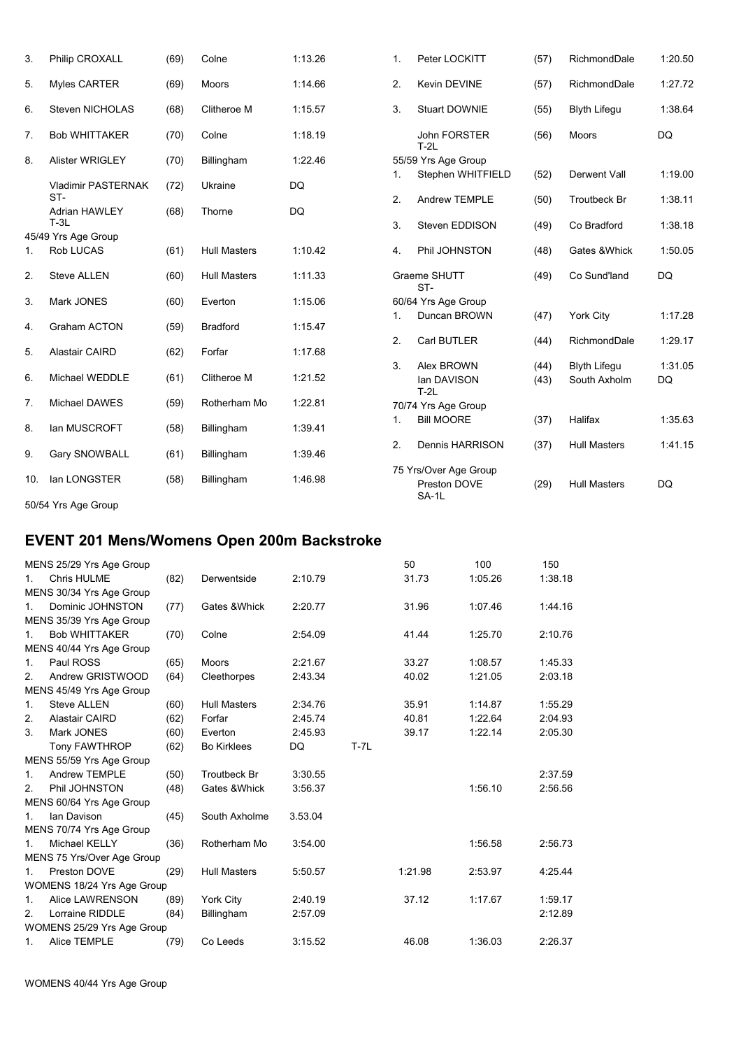| 3.               | Philip CROXALL              | (69) | Colne               | 1:13.26 | $\mathbf{1}$ . | Peter LOCKITT                                  | (57) | RichmondDale        | 1:20.50   |
|------------------|-----------------------------|------|---------------------|---------|----------------|------------------------------------------------|------|---------------------|-----------|
| 5.               | Myles CARTER                | (69) | <b>Moors</b>        | 1:14.66 | 2.             | Kevin DEVINE                                   | (57) | RichmondDale        | 1:27.72   |
| 6.               | <b>Steven NICHOLAS</b>      | (68) | Clitheroe M         | 1:15.57 | 3.             | <b>Stuart DOWNIE</b>                           | (55) | <b>Blyth Lifegu</b> | 1:38.64   |
| 7.               | <b>Bob WHITTAKER</b>        | (70) | Colne               | 1:18.19 |                | <b>John FORSTER</b><br>$T-2L$                  | (56) | Moors               | DQ        |
| 8.               | <b>Alister WRIGLEY</b>      | (70) | Billingham          | 1:22.46 |                | 55/59 Yrs Age Group                            |      |                     |           |
|                  | <b>Vladimir PASTERNAK</b>   | (72) | Ukraine             | DQ      | 1.             | Stephen WHITFIELD                              | (52) | Derwent Vall        | 1:19.00   |
|                  | ST-<br><b>Adrian HAWLEY</b> | (68) | Thorne              | DQ      | 2.             | <b>Andrew TEMPLE</b>                           | (50) | <b>Troutbeck Br</b> | 1:38.11   |
|                  | $T-3L$                      |      |                     |         | 3.             | Steven EDDISON                                 | (49) | Co Bradford         | 1:38.18   |
|                  | 45/49 Yrs Age Group         |      |                     |         |                |                                                |      |                     |           |
| 1.               | <b>Rob LUCAS</b>            | (61) | <b>Hull Masters</b> | 1:10.42 | 4.             | Phil JOHNSTON                                  | (48) | Gates & Whick       | 1:50.05   |
| $\overline{2}$ . | <b>Steve ALLEN</b>          | (60) | <b>Hull Masters</b> | 1:11.33 |                | Graeme SHUTT<br>ST-                            | (49) | Co Sund'land        | DQ        |
| 3.               | Mark JONES                  | (60) | Everton             | 1:15.06 |                | 60/64 Yrs Age Group                            |      |                     |           |
|                  |                             |      |                     |         | 1.             | Duncan BROWN                                   | (47) | <b>York City</b>    | 1:17.28   |
| 4.               | <b>Graham ACTON</b>         | (59) | <b>Bradford</b>     | 1:15.47 |                |                                                |      |                     |           |
| 5.               | <b>Alastair CAIRD</b>       | (62) | Forfar              | 1:17.68 | 2.             | Carl BUTLER                                    | (44) | RichmondDale        | 1:29.17   |
|                  |                             |      |                     |         | 3.             | Alex BROWN                                     | (44) | <b>Blyth Lifegu</b> | 1:31.05   |
| 6.               | Michael WEDDLE              | (61) | Clitheroe M         | 1:21.52 |                | lan DAVISON<br>$T-2L$                          | (43) | South Axholm        | <b>DQ</b> |
| 7.               | Michael DAWES               | (59) | Rotherham Mo        | 1:22.81 |                | 70/74 Yrs Age Group                            |      |                     |           |
| 8.               | lan MUSCROFT                | (58) | Billingham          | 1:39.41 | $\mathbf{1}$ . | <b>Bill MOORE</b>                              | (37) | Halifax             | 1:35.63   |
| 9.               | <b>Gary SNOWBALL</b>        | (61) | Billingham          | 1:39.46 | 2.             | Dennis HARRISON                                | (37) | <b>Hull Masters</b> | 1:41.15   |
| 10.              | lan LONGSTER                | (58) | Billingham          | 1:46.98 |                | 75 Yrs/Over Age Group<br>Preston DOVE<br>SA-1L | (29) | <b>Hull Masters</b> | DQ        |

50/54 Yrs Age Group

# **EVENT 201 Mens/Womens Open 200m Backstroke**

|                | MENS 25/29 Yrs Age Group   |      |                     |         |          | 50      | 100     | 150     |
|----------------|----------------------------|------|---------------------|---------|----------|---------|---------|---------|
| $\mathbf{1}$ . | Chris HULME                | (82) | Derwentside         | 2:10.79 |          | 31.73   | 1:05.26 | 1:38.18 |
|                | MENS 30/34 Yrs Age Group   |      |                     |         |          |         |         |         |
| $1_{\cdot}$    | Dominic JOHNSTON           | (77) | Gates & Whick       | 2:20.77 |          | 31.96   | 1:07.46 | 1:44.16 |
|                | MENS 35/39 Yrs Age Group   |      |                     |         |          |         |         |         |
| 1 <sub>1</sub> | <b>Bob WHITTAKER</b>       | (70) | Colne               | 2:54.09 |          | 41.44   | 1:25.70 | 2:10.76 |
|                | MENS 40/44 Yrs Age Group   |      |                     |         |          |         |         |         |
| 1.             | Paul ROSS                  | (65) | Moors               | 2:21.67 |          | 33.27   | 1:08.57 | 1:45.33 |
| 2.             | Andrew GRISTWOOD           | (64) | Cleethorpes         | 2:43.34 |          | 40.02   | 1:21.05 | 2:03.18 |
|                | MENS 45/49 Yrs Age Group   |      |                     |         |          |         |         |         |
| 1.             | <b>Steve ALLEN</b>         | (60) | <b>Hull Masters</b> | 2:34.76 |          | 35.91   | 1:14.87 | 1:55.29 |
| 2.             | <b>Alastair CAIRD</b>      | (62) | Forfar              | 2:45.74 |          | 40.81   | 1:22.64 | 2:04.93 |
| 3.             | Mark JONES                 | (60) | Everton             | 2:45.93 |          | 39.17   | 1:22.14 | 2:05.30 |
|                | Tony FAWTHROP              | (62) | <b>Bo Kirklees</b>  | DQ      | $T - 7L$ |         |         |         |
|                | MENS 55/59 Yrs Age Group   |      |                     |         |          |         |         |         |
| $\mathbf{1}$ . | Andrew TEMPLE              | (50) | <b>Troutbeck Br</b> | 3:30.55 |          |         |         | 2:37.59 |
| 2.             | Phil JOHNSTON              | (48) | Gates & Whick       | 3:56.37 |          |         | 1:56.10 | 2:56.56 |
|                | MENS 60/64 Yrs Age Group   |      |                     |         |          |         |         |         |
| $\mathbf{1}$ . | Ian Davison                | (45) | South Axholme       | 3.53.04 |          |         |         |         |
|                | MENS 70/74 Yrs Age Group   |      |                     |         |          |         |         |         |
| 1 <sub>1</sub> | Michael KELLY              | (36) | Rotherham Mo        | 3:54.00 |          |         | 1:56.58 | 2:56.73 |
|                | MENS 75 Yrs/Over Age Group |      |                     |         |          |         |         |         |
| 1.             | Preston DOVE               | (29) | <b>Hull Masters</b> | 5:50.57 |          | 1:21.98 | 2:53.97 | 4:25.44 |
|                | WOMENS 18/24 Yrs Age Group |      |                     |         |          |         |         |         |
| $\mathbf{1}$ . | Alice LAWRENSON            | (89) | York City           | 2:40.19 |          | 37.12   | 1:17.67 | 1:59.17 |
| 2.             | Lorraine RIDDLE            | (84) | Billingham          | 2:57.09 |          |         |         | 2:12.89 |
|                | WOMENS 25/29 Yrs Age Group |      |                     |         |          |         |         |         |
| 1.             | Alice TEMPLE               | (79) | Co Leeds            | 3:15.52 |          | 46.08   | 1:36.03 | 2:26.37 |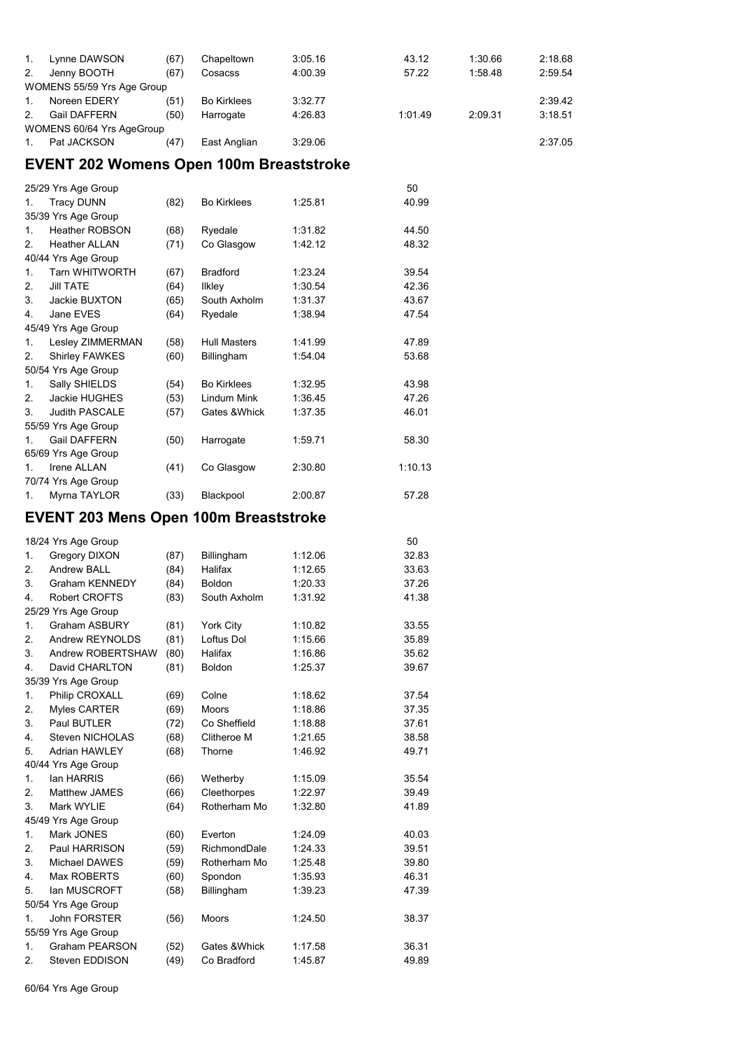| $\mathbf{1}$ . | Lynne DAWSON               | (67) | Chapeltown         | 3:05.16 | 43.12   | 1:30.66 | 2:18.68 |
|----------------|----------------------------|------|--------------------|---------|---------|---------|---------|
| 2.             | Jenny BOOTH                | (67) | Cosacss            | 4:00.39 | 57.22   | 1:58.48 | 2:59.54 |
|                | WOMENS 55/59 Yrs Age Group |      |                    |         |         |         |         |
| $\mathbf{1}$ . | Noreen EDERY               | (51) | <b>Bo Kirklees</b> | 3:32.77 |         |         | 2:39.42 |
| $\mathcal{P}$  | <b>Gail DAFFERN</b>        | (50) | Harrogate          | 4:26.83 | 1:01.49 | 2:09.31 | 3:18.51 |
|                | WOMENS 60/64 Yrs AgeGroup  |      |                    |         |         |         |         |
|                | Pat JACKSON                | (47) | East Anglian       | 3:29.06 |         |         | 2:37.05 |

# **EVENT 202 Womens Open 100m Breaststroke**

|                | 25/29 Yrs Age Group   |      |                     |         | 50      |
|----------------|-----------------------|------|---------------------|---------|---------|
| 1.             | <b>Tracy DUNN</b>     | (82) | <b>Bo Kirklees</b>  | 1:25.81 | 40.99   |
|                | 35/39 Yrs Age Group   |      |                     |         |         |
| 1.             | <b>Heather ROBSON</b> | (68) | Ryedale             | 1:31.82 | 44.50   |
| 2.             | <b>Heather ALLAN</b>  | (71) | Co Glasgow          | 1:42.12 | 48.32   |
|                | 40/44 Yrs Age Group   |      |                     |         |         |
| 1.             | <b>Tarn WHITWORTH</b> | (67) | <b>Bradford</b>     | 1:23.24 | 39.54   |
| 2.             | <b>JIII TATE</b>      | (64) | <b>Ilkley</b>       | 1:30.54 | 42.36   |
| 3.             | Jackie BUXTON         | (65) | South Axholm        | 1:31.37 | 43.67   |
| 4.             | Jane EVES             | (64) | Ryedale             | 1:38.94 | 47.54   |
|                | 45/49 Yrs Age Group   |      |                     |         |         |
| 1.             | Lesley ZIMMERMAN      | (58) | <b>Hull Masters</b> | 1:41.99 | 47.89   |
| 2.             | <b>Shirley FAWKES</b> | (60) | Billingham          | 1:54.04 | 53.68   |
|                | 50/54 Yrs Age Group   |      |                     |         |         |
| $\mathbf{1}$ . | Sally SHIELDS         | (54) | <b>Bo Kirklees</b>  | 1:32.95 | 43.98   |
| 2.             | Jackie HUGHES         | (53) | Lindum Mink         | 1:36.45 | 47.26   |
| 3.             | <b>Judith PASCALE</b> | (57) | Gates & Whick       | 1:37.35 | 46.01   |
|                | 55/59 Yrs Age Group   |      |                     |         |         |
| 1.             | <b>Gail DAFFERN</b>   | (50) | Harrogate           | 1:59.71 | 58.30   |
|                | 65/69 Yrs Age Group   |      |                     |         |         |
| $\mathbf{1}$ . | <b>Irene ALLAN</b>    | (41) | Co Glasgow          | 2:30.80 | 1:10.13 |
|                | 70/74 Yrs Age Group   |      |                     |         |         |
| 1.             | Myrna TAYLOR          | (33) | Blackpool           | 2:00.87 | 57.28   |

### **EVENT 203 Mens Open 100m Breaststroke**

|                | 18/24 Yrs Age Group    |      |               |         | 50    |
|----------------|------------------------|------|---------------|---------|-------|
| 1.             | Gregory DIXON          | (87) | Billingham    | 1:12.06 | 32.83 |
| 2.             | Andrew BALL            | (84) | Halifax       | 1:12.65 | 33.63 |
| 3.             | <b>Graham KENNEDY</b>  | (84) | Boldon        | 1:20.33 | 37.26 |
| 4.             | <b>Robert CROFTS</b>   | (83) | South Axholm  | 1:31.92 | 41.38 |
|                | 25/29 Yrs Age Group    |      |               |         |       |
| 1.             | <b>Graham ASBURY</b>   | (81) | York City     | 1:10.82 | 33.55 |
| 2.             | Andrew REYNOLDS        | (81) | Loftus Dol    | 1:15.66 | 35.89 |
| 3.             | Andrew ROBERTSHAW      | (80) | Halifax       | 1:16.86 | 35.62 |
| 4.             | David CHARLTON         | (81) | Boldon        | 1:25.37 | 39.67 |
|                | 35/39 Yrs Age Group    |      |               |         |       |
| 1.             | Philip CROXALL         | (69) | Colne         | 1:18.62 | 37.54 |
| 2.             | Myles CARTER           | (69) | Moors         | 1:18.86 | 37.35 |
| 3.             | Paul BUTLER            | (72) | Co Sheffield  | 1:18.88 | 37.61 |
| 4.             | <b>Steven NICHOLAS</b> | (68) | Clitheroe M   | 1:21.65 | 38.58 |
| 5.             | <b>Adrian HAWLEY</b>   | (68) | Thorne        | 1:46.92 | 49.71 |
|                | 40/44 Yrs Age Group    |      |               |         |       |
| 1.             | lan HARRIS             | (66) | Wetherby      | 1:15.09 | 35.54 |
| 2.             | <b>Matthew JAMES</b>   | (66) | Cleethorpes   | 1:22.97 | 39.49 |
| 3.             | Mark WYLIE             | (64) | Rotherham Mo  | 1:32.80 | 41.89 |
|                | 45/49 Yrs Age Group    |      |               |         |       |
| 1.             | Mark JONES             | (60) | Everton       | 1:24.09 | 40.03 |
| 2.             | Paul HARRISON          | (59) | RichmondDale  | 1:24.33 | 39.51 |
| 3.             | Michael DAWES          | (59) | Rotherham Mo  | 1:25.48 | 39.80 |
| 4.             | Max ROBERTS            | (60) | Spondon       | 1:35.93 | 46.31 |
| 5.             | lan MUSCROFT           | (58) | Billingham    | 1:39.23 | 47.39 |
|                | 50/54 Yrs Age Group    |      |               |         |       |
| $\mathbf{1}$ . | <b>John FORSTER</b>    | (56) | <b>Moors</b>  | 1:24.50 | 38.37 |
|                | 55/59 Yrs Age Group    |      |               |         |       |
| $\mathbf{1}$ . | <b>Graham PEARSON</b>  | (52) | Gates & Whick | 1:17.58 | 36.31 |
| 2.             | Steven EDDISON         | (49) | Co Bradford   | 1:45.87 | 49.89 |

60/64 Yrs Age Group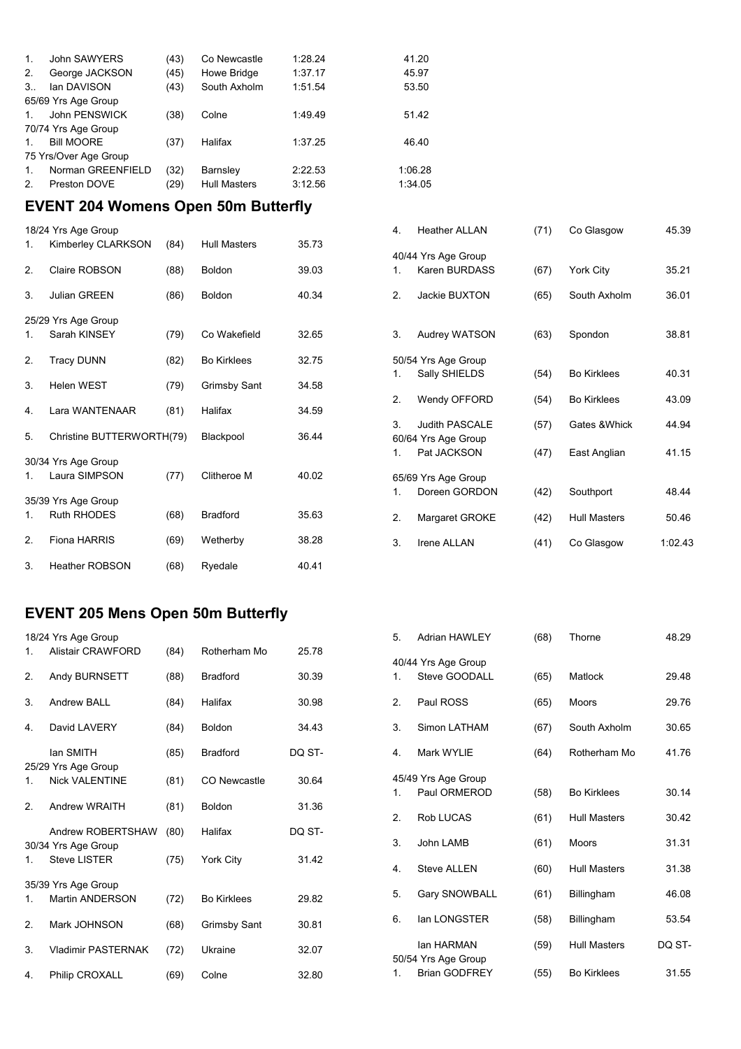| $1_{-}$        | John SAWYERS          | (43) | Co Newcastle        | 1:28.24 | 41.20   |
|----------------|-----------------------|------|---------------------|---------|---------|
| 2.             | George JACKSON        | (45) | Howe Bridge         | 1:37.17 | 45.97   |
| $3_{\cdots}$   | lan DAVISON           | (43) | South Axholm        | 1:51.54 | 53.50   |
|                | 65/69 Yrs Age Group   |      |                     |         |         |
| $1_{-}$        | John PENSWICK         | (38) | Colne               | 1:49.49 | 51.42   |
|                | 70/74 Yrs Age Group   |      |                     |         |         |
| $1_{-}$        | <b>Bill MOORE</b>     | (37) | Halifax             | 1:37.25 | 46.40   |
|                | 75 Yrs/Over Age Group |      |                     |         |         |
| $1_{-}$        | Norman GREENFIELD     | (32) | Barnsley            | 2:22.53 | 1:06.28 |
| 2 <sup>2</sup> | Preston DOVE          | (29) | <b>Hull Masters</b> | 3:12.56 | 1:34.05 |
|                |                       |      |                     |         |         |

#### **EVENT 204 Womens Open 50m Butterfly**

|    | 18/24 Yrs Age Group       |      |                     |       |
|----|---------------------------|------|---------------------|-------|
| 1. | Kimberley CLARKSON        | (84) | <b>Hull Masters</b> | 35.73 |
| 2. | Claire ROBSON             | (88) | <b>Boldon</b>       | 39.03 |
| 3. | <b>Julian GREEN</b>       | (86) | <b>Boldon</b>       | 40.34 |
|    | 25/29 Yrs Age Group       |      |                     |       |
| 1. | Sarah KINSEY              | (79) | Co Wakefield        | 32.65 |
| 2. | <b>Tracy DUNN</b>         | (82) | <b>Bo Kirklees</b>  | 32.75 |
| 3. | <b>Helen WEST</b>         | (79) | <b>Grimsby Sant</b> | 34.58 |
| 4. | Lara WANTENAAR            | (81) | Halifax             | 34.59 |
| 5. | Christine BUTTERWORTH(79) |      | Blackpool           | 36.44 |
|    | 30/34 Yrs Age Group       |      |                     |       |
| 1. | Laura SIMPSON             | (77) | Clitheroe M         | 40.02 |
|    | 35/39 Yrs Age Group       |      |                     |       |
| 1. | <b>Ruth RHODES</b>        | (68) | <b>Bradford</b>     | 35.63 |
| 2. | Fiona HARRIS              | (69) | Wetherby            | 38.28 |
| 3. | <b>Heather ROBSON</b>     | (68) | Ryedale             | 40.41 |

## 40/44 Yrs Age Group 1. Karen BURDASS (67) York City 35.21 2. Jackie BUXTON (65) South Axholm 36.01 3. Audrey WATSON (63) Spondon 38.81 50/54 Yrs Age Group 1. Sally SHIELDS (54) Bo Kirklees 40.31 2. Wendy OFFORD (54) Bo Kirklees 43.09 3. Judith PASCALE (57) Gates &Whick 44.94 60/64 Yrs Age Group 1. Pat JACKSON (47) East Anglian 41.15 65/69 Yrs Age Group 1. Doreen GORDON (42) Southport 48.44 2. Margaret GROKE (42) Hull Masters 50.46 3. Irene ALLAN (41) Co Glasgow 1:02.43

4. Heather ALLAN (71) Co Glasgow 45.39

#### **EVENT 205 Mens Open 50m Butterfly**

|    | 18/24 Yrs Age Group                          |      |                    |        |
|----|----------------------------------------------|------|--------------------|--------|
| 1. | Alistair CRAWFORD                            | (84) | Rotherham Mo       | 25.78  |
| 2. | Andy BURNSETT                                | (88) | <b>Bradford</b>    | 30.39  |
| 3. | Andrew BALL                                  | (84) | Halifax            | 30.98  |
| 4. | David LAVERY                                 | (84) | <b>Boldon</b>      | 34.43  |
|    | lan SMITH                                    | (85) | <b>Bradford</b>    | DQ ST- |
| 1. | 25/29 Yrs Age Group<br><b>Nick VALENTINE</b> | (81) | CO Newcastle       | 30.64  |
| 2. | Andrew WRAITH                                | (81) | <b>Boldon</b>      | 31.36  |
|    | Andrew ROBERTSHAW                            | (80) | Halifax            | DQ ST- |
| 1  | 30/34 Yrs Age Group<br><b>Steve LISTER</b>   | (75) | York City          | 31.42  |
|    | 35/39 Yrs Age Group                          |      |                    |        |
| 1. | Martin ANDERSON                              | (72) | <b>Bo Kirklees</b> | 29.82  |
| 2. | Mark JOHNSON                                 | (68) | Grimsby Sant       | 30.81  |
| 3. | <b>Vladimir PASTERNAK</b>                    | (72) | Ukraine            | 32.07  |
| 4. | Philip CROXALL                               | (69) | Colne              | 32.80  |

| 5. | <b>Adrian HAWLEY</b>                 | (68) | Thorne              | 48.29  |
|----|--------------------------------------|------|---------------------|--------|
| 1. | 40/44 Yrs Age Group<br>Steve GOODALL | (65) | Matlock             | 29.48  |
| 2. | Paul ROSS                            | (65) | Moors               | 29.76  |
| 3. | Simon LATHAM                         | (67) | South Axholm        | 30.65  |
| 4. | Mark WYLIE                           | (64) | Rotherham Mo        | 41.76  |
| 1. | 45/49 Yrs Age Group<br>Paul ORMEROD  | (58) | <b>Bo Kirklees</b>  | 30.14  |
| 2. | <b>Rob LUCAS</b>                     | (61) | <b>Hull Masters</b> | 30.42  |
| 3. | John LAMB                            | (61) | <b>Moors</b>        | 31.31  |
| 4. | <b>Steve ALLEN</b>                   | (60) | <b>Hull Masters</b> | 31.38  |
| 5. | Gary SNOWBALL                        | (61) | Billingham          | 46.08  |
| 6. | lan LONGSTER                         | (58) | Billingham          | 53.54  |
|    | lan HARMAN<br>50/54 Yrs Age Group    | (59) | <b>Hull Masters</b> | DQ ST- |
| 1. | <b>Brian GODFREY</b>                 | (55) | <b>Bo Kirklees</b>  | 31.55  |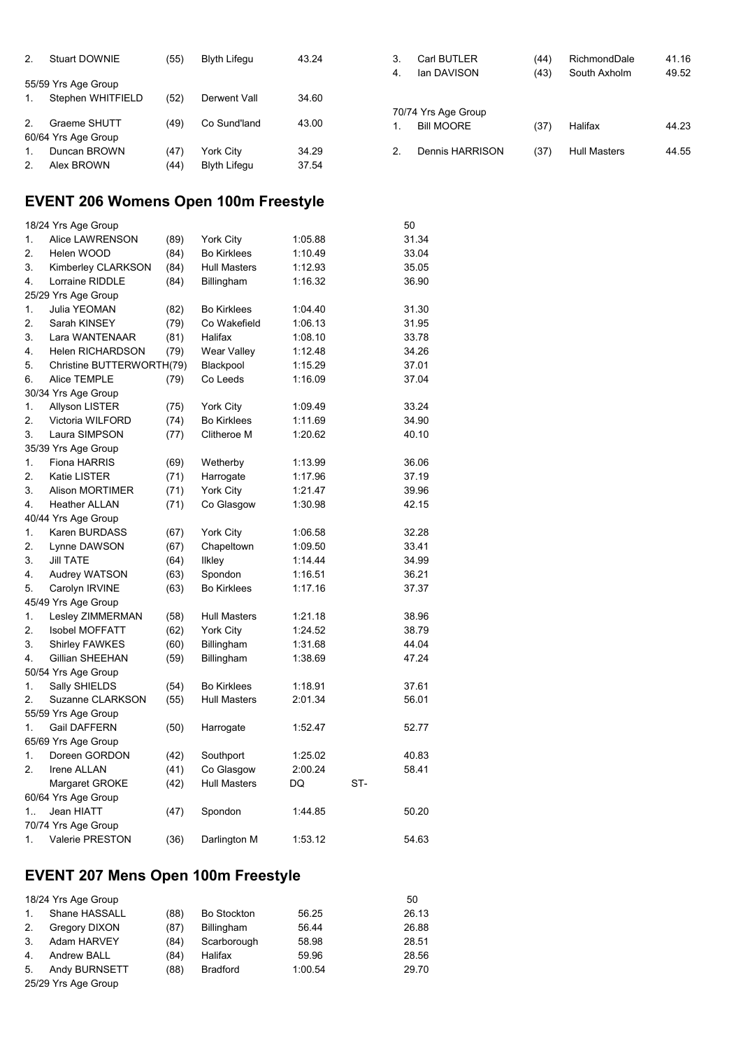| 2. | <b>Stuart DOWNIE</b> | (55) | <b>Blyth Lifegu</b> | 43.24 |
|----|----------------------|------|---------------------|-------|
|    | 55/59 Yrs Age Group  |      |                     |       |
| 1. | Stephen WHITFIELD    | (52) | Derwent Vall        | 34.60 |
| 2  | Graeme SHUTT         | (49) | Co Sund'land        | 43.00 |
|    | 60/64 Yrs Age Group  |      |                     |       |
| 1. | Duncan BROWN         | (47) | <b>York City</b>    | 34.29 |
| 2  | Alex BROWN           | (44) | <b>Blyth Lifegu</b> | 37.54 |

| 3. | Carl BUTLER         | (44) | RichmondDale        | 41.16 |
|----|---------------------|------|---------------------|-------|
| 4. | lan DAVISON         | (43) | South Axholm        | 49.52 |
|    |                     |      |                     |       |
|    | 70/74 Yrs Age Group |      |                     |       |
| 1. | <b>Bill MOORE</b>   | (37) | Halifax             | 44.23 |
| 2  | Dennis HARRISON     | (37) | <b>Hull Masters</b> | 44.55 |
|    |                     |      |                     |       |

### **EVENT 206 Womens Open 100m Freestyle**

|                  | 18/24 Yrs Age Group       |      |                     |         |     | 50    |
|------------------|---------------------------|------|---------------------|---------|-----|-------|
| 1.               | Alice LAWRENSON           | (89) | <b>York City</b>    | 1:05.88 |     | 31.34 |
| 2.               | Helen WOOD                | (84) | <b>Bo Kirklees</b>  | 1:10.49 |     | 33.04 |
| 3.               | <b>Kimberley CLARKSON</b> | (84) | <b>Hull Masters</b> | 1:12.93 |     | 35.05 |
| 4.               | Lorraine RIDDLE           | (84) | Billingham          | 1:16.32 |     | 36.90 |
|                  | 25/29 Yrs Age Group       |      |                     |         |     |       |
| 1.               | Julia YEOMAN              | (82) | <b>Bo Kirklees</b>  | 1:04.40 |     | 31.30 |
| 2.               | Sarah KINSEY              | (79) | Co Wakefield        | 1:06.13 |     | 31.95 |
| 3.               | Lara WANTENAAR            | (81) | Halifax             | 1:08.10 |     | 33.78 |
| 4.               | <b>Helen RICHARDSON</b>   | (79) | Wear Valley         | 1:12.48 |     | 34.26 |
| 5.               | Christine BUTTERWORTH(79) |      | Blackpool           | 1:15.29 |     | 37.01 |
| 6.               | Alice TEMPLE              | (79) | Co Leeds            | 1:16.09 |     | 37.04 |
|                  | 30/34 Yrs Age Group       |      |                     |         |     |       |
| 1.               | <b>Allyson LISTER</b>     | (75) | <b>York City</b>    | 1:09.49 |     | 33.24 |
| 2.               | Victoria WILFORD          | (74) | <b>Bo Kirklees</b>  | 1:11.69 |     | 34.90 |
| 3.               | Laura SIMPSON             | (77) | Clitheroe M         | 1:20.62 |     | 40.10 |
|                  | 35/39 Yrs Age Group       |      |                     |         |     |       |
| 1.               | <b>Fiona HARRIS</b>       | (69) | Wetherby            | 1:13.99 |     | 36.06 |
| 2.               | Katie LISTER              | (71) | Harrogate           | 1:17.96 |     | 37.19 |
| 3.               | <b>Alison MORTIMER</b>    | (71) | York City           | 1:21.47 |     | 39.96 |
| 4.               | <b>Heather ALLAN</b>      | (71) | Co Glasgow          | 1:30.98 |     | 42.15 |
|                  | 40/44 Yrs Age Group       |      |                     |         |     |       |
| 1.               | Karen BURDASS             | (67) | York City           | 1:06.58 |     | 32.28 |
| 2.               | Lynne DAWSON              | (67) | Chapeltown          | 1:09.50 |     | 33.41 |
| 3.               | <b>Jill TATE</b>          | (64) | <b>Ilkley</b>       | 1:14.44 |     | 34.99 |
| 4.               | <b>Audrey WATSON</b>      | (63) | Spondon             | 1:16.51 |     | 36.21 |
| 5.               | Carolyn IRVINE            | (63) | <b>Bo Kirklees</b>  | 1:17.16 |     | 37.37 |
|                  | 45/49 Yrs Age Group       |      |                     |         |     |       |
| 1.               | Lesley ZIMMERMAN          | (58) | <b>Hull Masters</b> | 1:21.18 |     | 38.96 |
| 2.               | <b>Isobel MOFFATT</b>     | (62) | York City           | 1:24.52 |     | 38.79 |
| 3.               | <b>Shirley FAWKES</b>     | (60) | Billingham          | 1:31.68 |     | 44.04 |
| 4.               | Gillian SHEEHAN           | (59) | Billingham          | 1:38.69 |     | 47.24 |
|                  | 50/54 Yrs Age Group       |      |                     |         |     |       |
| 1.               | Sally SHIELDS             | (54) | <b>Bo Kirklees</b>  | 1:18.91 |     | 37.61 |
| 2.               | Suzanne CLARKSON          | (55) | <b>Hull Masters</b> | 2:01.34 |     | 56.01 |
|                  | 55/59 Yrs Age Group       |      |                     |         |     |       |
| 1.               | <b>Gail DAFFERN</b>       | (50) | Harrogate           | 1:52.47 |     | 52.77 |
|                  | 65/69 Yrs Age Group       |      |                     |         |     |       |
| 1.               | Doreen GORDON             | (42) | Southport           | 1:25.02 |     | 40.83 |
| $\overline{2}$ . | Irene ALLAN               | (41) | Co Glasgow          | 2:00.24 |     | 58.41 |
|                  | Margaret GROKE            | (42) | <b>Hull Masters</b> | DQ      | ST- |       |
|                  | 60/64 Yrs Age Group       |      |                     |         |     |       |
| 1                | Jean HIATT                | (47) | Spondon             | 1:44.85 |     | 50.20 |
|                  | 70/74 Yrs Age Group       |      |                     |         |     |       |
| 1.               | Valerie PRESTON           | (36) | Darlington M        | 1:53.12 |     | 54.63 |

# **EVENT 207 Mens Open 100m Freestyle**

|    | 18/24 Yrs Age Group |      |                    |         | 50    |
|----|---------------------|------|--------------------|---------|-------|
| 1. | Shane HASSALL       | (88) | <b>Bo Stockton</b> | 56.25   | 26.13 |
| 2. | Gregory DIXON       | (87) | Billingham         | 56.44   | 26.88 |
| 3. | Adam HARVEY         | (84) | Scarborough        | 58.98   | 28.51 |
| 4. | Andrew BALL         | (84) | Halifax            | 59.96   | 28.56 |
| 5. | Andy BURNSETT       | (88) | <b>Bradford</b>    | 1:00.54 | 29.70 |
|    | 25/29 Yrs Age Group |      |                    |         |       |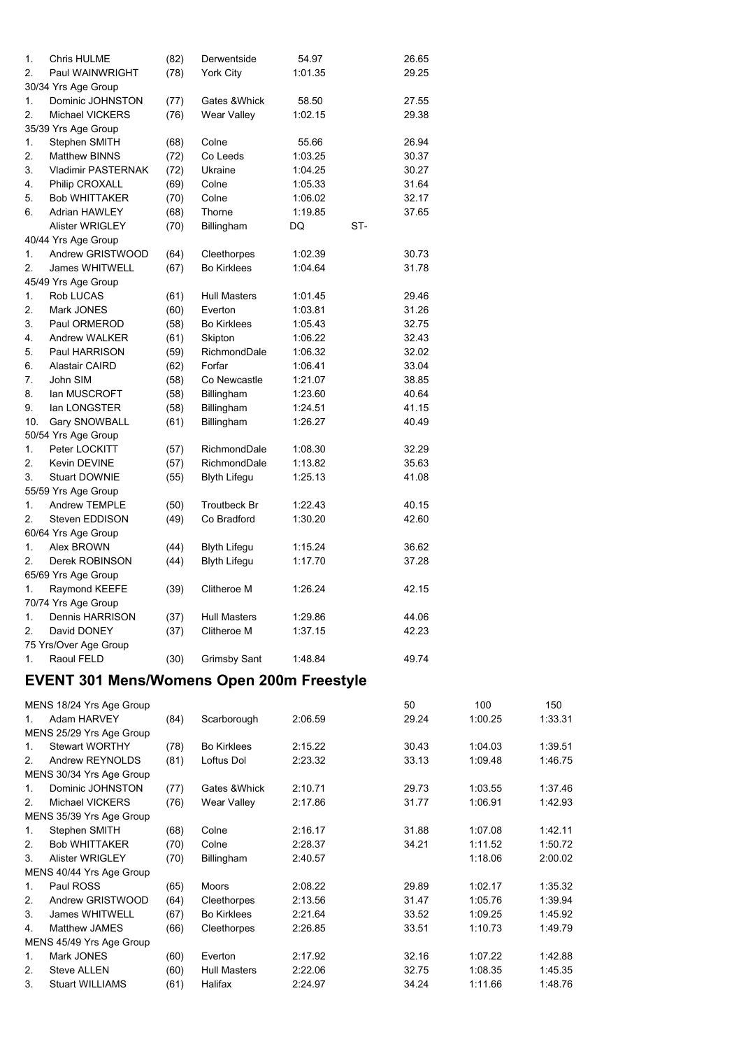| 1.  | <b>Chris HULME</b>     | (82) | Derwentside         | 54.97   |     | 26.65 |
|-----|------------------------|------|---------------------|---------|-----|-------|
| 2.  | Paul WAINWRIGHT        | (78) | <b>York City</b>    | 1:01.35 |     | 29.25 |
|     | 30/34 Yrs Age Group    |      |                     |         |     |       |
| 1.  | Dominic JOHNSTON       | (77) | Gates & Whick       | 58.50   |     | 27.55 |
| 2.  | <b>Michael VICKERS</b> | (76) | <b>Wear Valley</b>  | 1:02.15 |     | 29.38 |
|     | 35/39 Yrs Age Group    |      |                     |         |     |       |
| 1.  | Stephen SMITH          | (68) | Colne               | 55.66   |     | 26.94 |
| 2.  | <b>Matthew BINNS</b>   | (72) | Co Leeds            | 1:03.25 |     | 30.37 |
| 3.  | Vladimir PASTERNAK     | (72) | Ukraine             | 1:04.25 |     | 30.27 |
| 4.  | Philip CROXALL         | (69) | Colne               | 1:05.33 |     | 31.64 |
| 5.  | <b>Bob WHITTAKER</b>   | (70) | Colne               | 1:06.02 |     | 32.17 |
| 6.  | <b>Adrian HAWLEY</b>   | (68) | Thorne              | 1:19.85 |     | 37.65 |
|     | <b>Alister WRIGLEY</b> | (70) | Billingham          | DQ      | ST- |       |
|     | 40/44 Yrs Age Group    |      |                     |         |     |       |
| 1.  | Andrew GRISTWOOD       | (64) | Cleethorpes         | 1:02.39 |     | 30.73 |
| 2.  | <b>James WHITWELL</b>  | (67) | <b>Bo Kirklees</b>  | 1:04.64 |     | 31.78 |
|     | 45/49 Yrs Age Group    |      |                     |         |     |       |
| 1.  | Rob LUCAS              | (61) | <b>Hull Masters</b> | 1:01.45 |     | 29.46 |
| 2.  | Mark JONES             | (60) | Everton             | 1:03.81 |     | 31.26 |
| 3.  | Paul ORMEROD           | (58) | <b>Bo Kirklees</b>  | 1:05.43 |     | 32.75 |
| 4.  | Andrew WALKER          | (61) | Skipton             | 1:06.22 |     | 32.43 |
| 5.  | Paul HARRISON          | (59) | RichmondDale        | 1:06.32 |     | 32.02 |
| 6.  | Alastair CAIRD         | (62) | Forfar              | 1:06.41 |     | 33.04 |
| 7.  | John SIM               | (58) | Co Newcastle        | 1:21.07 |     | 38.85 |
| 8.  | lan MUSCROFT           | (58) | Billingham          | 1:23.60 |     | 40.64 |
| 9.  | lan LONGSTER           | (58) | Billingham          | 1:24.51 |     | 41.15 |
| 10. | Gary SNOWBALL          | (61) | Billingham          | 1:26.27 |     | 40.49 |
|     | 50/54 Yrs Age Group    |      |                     |         |     |       |
| 1.  | Peter LOCKITT          | (57) | RichmondDale        | 1:08.30 |     | 32.29 |
| 2.  | Kevin DEVINE           | (57) | RichmondDale        | 1:13.82 |     | 35.63 |
| 3.  | <b>Stuart DOWNIE</b>   | (55) | <b>Blyth Lifegu</b> | 1:25.13 |     | 41.08 |
|     | 55/59 Yrs Age Group    |      |                     |         |     |       |
| 1.  | Andrew TEMPLE          | (50) | <b>Troutbeck Br</b> | 1:22.43 |     | 40.15 |
| 2.  | Steven EDDISON         | (49) | Co Bradford         | 1:30.20 |     | 42.60 |
|     | 60/64 Yrs Age Group    |      |                     |         |     |       |
| 1.  | Alex BROWN             | (44) | <b>Blyth Lifegu</b> | 1:15.24 |     | 36.62 |
| 2.  | Derek ROBINSON         | (44) | <b>Blyth Lifegu</b> | 1:17.70 |     | 37.28 |
|     | 65/69 Yrs Age Group    |      |                     |         |     |       |
| 1.  | Raymond KEEFE          | (39) | Clitheroe M         | 1:26.24 |     | 42.15 |
|     | 70/74 Yrs Age Group    |      |                     |         |     |       |
| 1.  | Dennis HARRISON        | (37) | <b>Hull Masters</b> | 1:29.86 |     | 44.06 |
| 2.  | David DONEY            | (37) | Clitheroe M         | 1:37.15 |     | 42.23 |
|     | 75 Yrs/Over Age Group  |      |                     |         |     |       |
| 1.  | Raoul FELD             | (30) | <b>Grimsby Sant</b> | 1:48.84 |     | 49.74 |
|     |                        |      |                     |         |     |       |

# **EVENT 301 Mens/Womens Open 200m Freestyle**

|                | MENS 18/24 Yrs Age Group |      |                     |         | 50    | 100     | 150     |
|----------------|--------------------------|------|---------------------|---------|-------|---------|---------|
| 1              | Adam HARVEY              | (84) | Scarborough         | 2:06.59 | 29.24 | 1:00.25 | 1:33.31 |
|                | MENS 25/29 Yrs Age Group |      |                     |         |       |         |         |
| $\mathbf{1}$   | <b>Stewart WORTHY</b>    | (78) | <b>Bo Kirklees</b>  | 2:15.22 | 30.43 | 1:04.03 | 1:39.51 |
| 2.             | Andrew REYNOLDS          | (81) | Loftus Dol          | 2:23.32 | 33.13 | 1:09.48 | 1:46.75 |
|                | MENS 30/34 Yrs Age Group |      |                     |         |       |         |         |
| $\mathbf{1}$ . | Dominic JOHNSTON         | (77) | Gates & Whick       | 2:10.71 | 29.73 | 1:03.55 | 1:37.46 |
| $\mathcal{P}$  | Michael VICKERS          | (76) | Wear Valley         | 2:17.86 | 31.77 | 1:06.91 | 1:42.93 |
|                | MENS 35/39 Yrs Age Group |      |                     |         |       |         |         |
| 1.             | Stephen SMITH            | (68) | Colne               | 2:16.17 | 31.88 | 1:07.08 | 1:42.11 |
| $\mathcal{P}$  | <b>Bob WHITTAKER</b>     | (70) | Colne               | 2:28.37 | 34.21 | 1:11.52 | 1:50.72 |
| 3.             | <b>Alister WRIGLEY</b>   | (70) | Billingham          | 2:40.57 |       | 1:18.06 | 2:00.02 |
|                | MENS 40/44 Yrs Age Group |      |                     |         |       |         |         |
| $\mathbf{1}$ . | Paul ROSS                | (65) | <b>Moors</b>        | 2:08.22 | 29.89 | 1:02.17 | 1:35.32 |
| $\mathcal{P}$  | Andrew GRISTWOOD         | (64) | Cleethorpes         | 2:13.56 | 31.47 | 1:05.76 | 1:39.94 |
| 3.             | James WHITWELL           | (67) | <b>Bo Kirklees</b>  | 2:21.64 | 33.52 | 1:09.25 | 1:45.92 |
| 4.             | Matthew JAMES            | (66) | Cleethorpes         | 2:26.85 | 33.51 | 1:10.73 | 1:49.79 |
|                | MENS 45/49 Yrs Age Group |      |                     |         |       |         |         |
| $\mathbf{1}$ . | Mark JONES               | (60) | Everton             | 2:17.92 | 32.16 | 1:07.22 | 1:42.88 |
| 2.             | <b>Steve ALLEN</b>       | (60) | <b>Hull Masters</b> | 2:22.06 | 32.75 | 1:08.35 | 1:45.35 |
| 3.             | <b>Stuart WILLIAMS</b>   | (61) | Halifax             | 2:24.97 | 34.24 | 1:11.66 | 1:48.76 |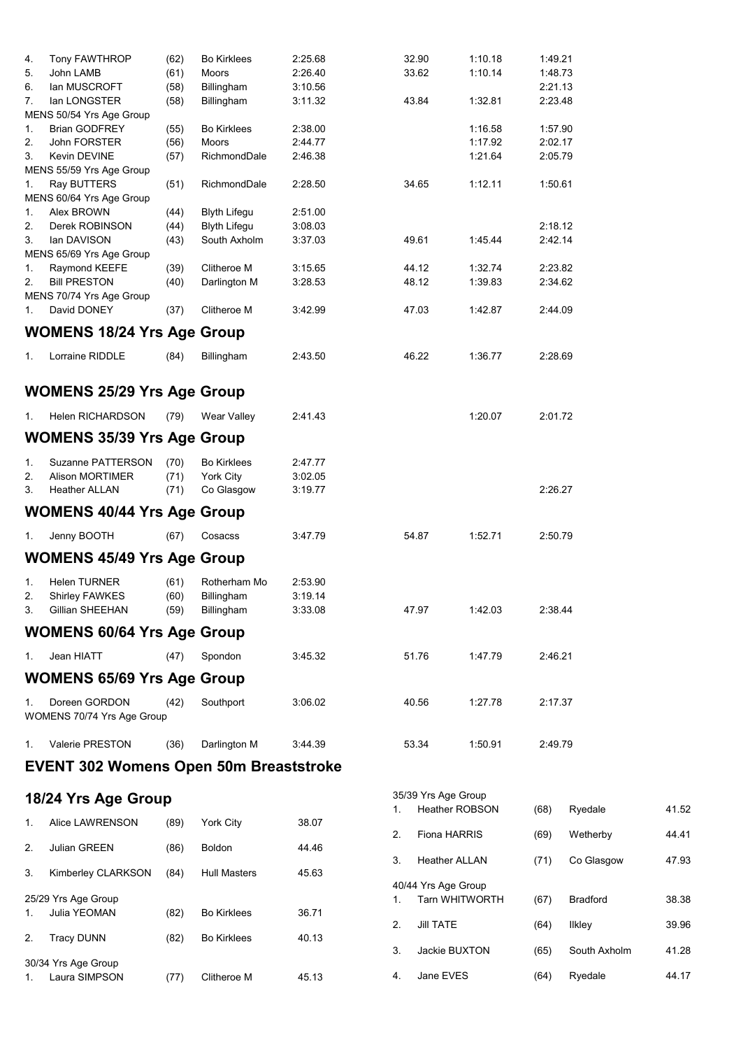| 4. | Tony FAWTHROP                                 | (62) | <b>Bo Kirklees</b>  | 2:25.68 |    | 32.90                 | 1:10.18               | 1:49.21 |                 |       |
|----|-----------------------------------------------|------|---------------------|---------|----|-----------------------|-----------------------|---------|-----------------|-------|
| 5. | John LAMB                                     | (61) | Moors               | 2:26.40 |    | 33.62                 | 1:10.14               | 1:48.73 |                 |       |
| 6. | lan MUSCROFT                                  | (58) | Billingham          | 3:10.56 |    |                       |                       | 2:21.13 |                 |       |
| 7. | lan LONGSTER                                  | (58) | Billingham          | 3:11.32 |    | 43.84                 | 1:32.81               | 2:23.48 |                 |       |
|    | MENS 50/54 Yrs Age Group                      |      |                     |         |    |                       |                       |         |                 |       |
| 1. | <b>Brian GODFREY</b>                          | (55) | <b>Bo Kirklees</b>  | 2:38.00 |    |                       | 1:16.58               | 1:57.90 |                 |       |
| 2. | John FORSTER                                  | (56) | Moors               | 2:44.77 |    |                       | 1:17.92               | 2:02.17 |                 |       |
| 3. | Kevin DEVINE                                  | (57) | RichmondDale        | 2:46.38 |    |                       | 1:21.64               | 2:05.79 |                 |       |
|    | MENS 55/59 Yrs Age Group                      |      |                     |         |    |                       |                       |         |                 |       |
| 1. | Ray BUTTERS                                   | (51) | RichmondDale        | 2:28.50 |    | 34.65                 | 1:12.11               | 1:50.61 |                 |       |
|    | MENS 60/64 Yrs Age Group                      |      |                     |         |    |                       |                       |         |                 |       |
| 1. | Alex BROWN                                    | (44) | <b>Blyth Lifegu</b> | 2:51.00 |    |                       |                       |         |                 |       |
| 2. | Derek ROBINSON                                | (44) | <b>Blyth Lifegu</b> | 3:08.03 |    |                       |                       | 2:18.12 |                 |       |
| 3. | lan DAVISON                                   | (43) | South Axholm        | 3:37.03 |    | 49.61                 | 1:45.44               | 2:42.14 |                 |       |
|    | MENS 65/69 Yrs Age Group                      |      |                     |         |    |                       |                       |         |                 |       |
| 1. | Raymond KEEFE                                 | (39) | Clitheroe M         | 3:15.65 |    | 44.12                 | 1:32.74               | 2:23.82 |                 |       |
| 2. | <b>Bill PRESTON</b>                           | (40) | Darlington M        | 3:28.53 |    | 48.12                 | 1:39.83               | 2:34.62 |                 |       |
|    | MENS 70/74 Yrs Age Group                      |      |                     |         |    |                       |                       |         |                 |       |
| 1. | David DONEY                                   | (37) | Clitheroe M         | 3:42.99 |    | 47.03                 | 1:42.87               | 2:44.09 |                 |       |
|    | <b>WOMENS 18/24 Yrs Age Group</b>             |      |                     |         |    |                       |                       |         |                 |       |
| 1. | Lorraine RIDDLE                               | (84) | Billingham          | 2:43.50 |    | 46.22                 | 1:36.77               | 2:28.69 |                 |       |
|    |                                               |      |                     |         |    |                       |                       |         |                 |       |
|    | <b>WOMENS 25/29 Yrs Age Group</b>             |      |                     |         |    |                       |                       |         |                 |       |
| 1. | Helen RICHARDSON                              | (79) | Wear Valley         | 2:41.43 |    |                       | 1:20.07               | 2:01.72 |                 |       |
|    | <b>WOMENS 35/39 Yrs Age Group</b>             |      |                     |         |    |                       |                       |         |                 |       |
|    |                                               |      |                     |         |    |                       |                       |         |                 |       |
| 1. | Suzanne PATTERSON                             | (70) | <b>Bo Kirklees</b>  | 2:47.77 |    |                       |                       |         |                 |       |
| 2. | <b>Alison MORTIMER</b>                        | (71) | <b>York City</b>    | 3:02.05 |    |                       |                       |         |                 |       |
| 3. | <b>Heather ALLAN</b>                          | (71) | Co Glasgow          | 3:19.77 |    |                       |                       | 2:26.27 |                 |       |
|    | <b>WOMENS 40/44 Yrs Age Group</b>             |      |                     |         |    |                       |                       |         |                 |       |
| 1. | Jenny BOOTH                                   | (67) | Cosacss             | 3:47.79 |    | 54.87                 | 1:52.71               | 2:50.79 |                 |       |
|    | <b>WOMENS 45/49 Yrs Age Group</b>             |      |                     |         |    |                       |                       |         |                 |       |
| 1. | <b>Helen TURNER</b>                           | (61) | Rotherham Mo        | 2:53.90 |    |                       |                       |         |                 |       |
| 2. | <b>Shirley FAWKES</b>                         | (60) | Billingham          | 3:19.14 |    |                       |                       |         |                 |       |
| 3  | Gillian SHEEHAN                               | (59) | Billingham          | 3:33.08 |    | 47.97                 | 1:42.03               | 2:38.44 |                 |       |
|    | <b>WOMENS 60/64 Yrs Age Group</b>             |      |                     |         |    |                       |                       |         |                 |       |
|    |                                               |      |                     |         |    |                       |                       |         |                 |       |
| 1. | Jean HIATT                                    | (47) | Spondon             | 3:45.32 |    | 51.76                 | 1:47.79               | 2:46.21 |                 |       |
|    | <b>WOMENS 65/69 Yrs Age Group</b>             |      |                     |         |    |                       |                       |         |                 |       |
| 1. | Doreen GORDON                                 | (42) | Southport           | 3:06.02 |    | 40.56                 | 1:27.78               | 2:17.37 |                 |       |
|    | WOMENS 70/74 Yrs Age Group                    |      |                     |         |    |                       |                       |         |                 |       |
|    |                                               |      |                     |         |    |                       |                       |         |                 |       |
| 1. | Valerie PRESTON                               | (36) | Darlington M        | 3:44.39 |    | 53.34                 | 1:50.91               | 2:49.79 |                 |       |
|    | <b>EVENT 302 Womens Open 50m Breaststroke</b> |      |                     |         |    |                       |                       |         |                 |       |
|    |                                               |      |                     |         |    |                       |                       |         |                 |       |
|    | 18/24 Yrs Age Group                           |      |                     |         |    | 35/39 Yrs Age Group   |                       |         |                 |       |
| 1. | Alice LAWRENSON                               | (89) | York City           | 38.07   | 1. | <b>Heather ROBSON</b> |                       | (68)    | Ryedale         | 41.52 |
|    |                                               |      |                     |         | 2. | Fiona HARRIS          |                       | (69)    | Wetherby        | 44.41 |
| 2. | Julian GREEN                                  | (86) | <b>Boldon</b>       | 44.46   |    |                       |                       |         |                 |       |
|    |                                               |      |                     |         | 3. | <b>Heather ALLAN</b>  |                       | (71)    | Co Glasgow      | 47.93 |
| 3. | Kimberley CLARKSON                            | (84) | <b>Hull Masters</b> | 45.63   |    |                       |                       |         |                 |       |
|    |                                               |      |                     |         |    | 40/44 Yrs Age Group   |                       |         |                 |       |
|    | 25/29 Yrs Age Group<br>Julia YEOMAN           | (82) | <b>Bo Kirklees</b>  | 36.71   | 1. |                       | <b>Tarn WHITWORTH</b> | (67)    | <b>Bradford</b> | 38.38 |
| 1. |                                               |      |                     |         | 2. | <b>Jill TATE</b>      |                       | (64)    | <b>Ilkley</b>   | 39.96 |
| 2. | <b>Tracy DUNN</b>                             | (82) | <b>Bo Kirklees</b>  | 40.13   |    |                       |                       |         |                 |       |
|    |                                               |      |                     |         | 3. | Jackie BUXTON         |                       | (65)    | South Axholm    | 41.28 |
|    | 30/34 Yrs Age Group                           |      |                     |         |    |                       |                       |         |                 |       |
| 1. | Laura SIMPSON                                 | (77) | Clitheroe M         | 45.13   | 4. | Jane EVES             |                       | (64)    | Ryedale         | 44.17 |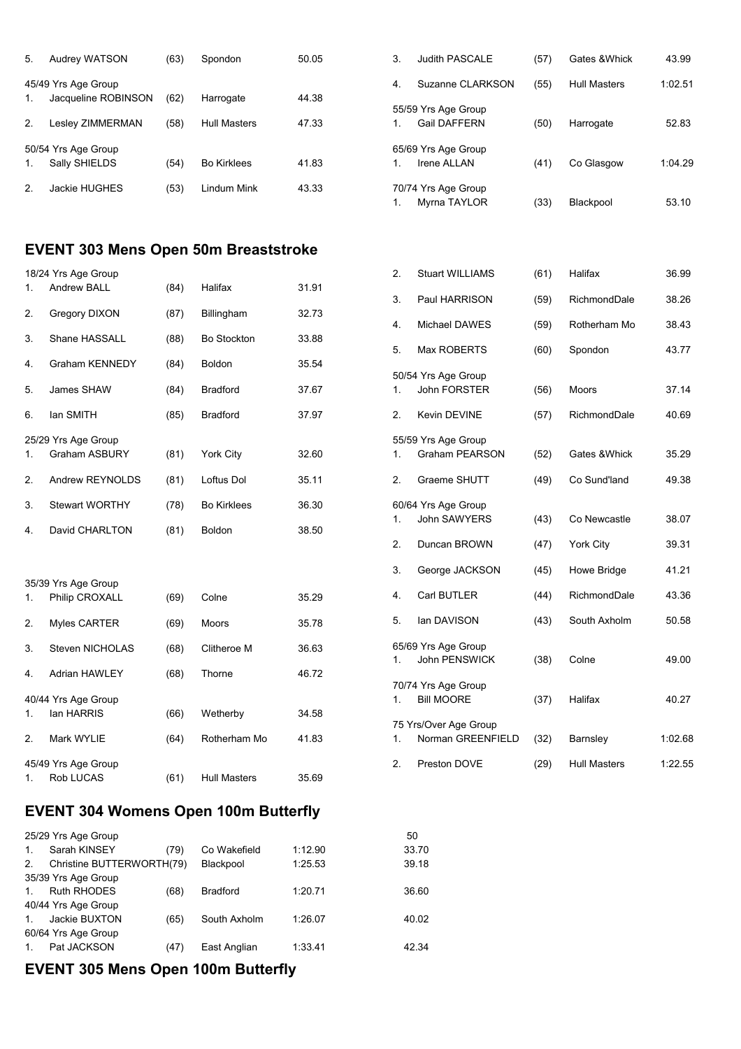| 5.             | Audrey WATSON       | (63) | Spondon             | 50.05 | 3.               | Judith PASCALE      | (57) | Gates & Whick       | 43.99   |
|----------------|---------------------|------|---------------------|-------|------------------|---------------------|------|---------------------|---------|
|                | 45/49 Yrs Age Group |      |                     |       | $\overline{4}$ . | Suzanne CLARKSON    | (55) | <b>Hull Masters</b> | 1:02.51 |
| 1.             | Jacqueline ROBINSON | (62) | Harrogate           | 44.38 |                  |                     |      |                     |         |
|                |                     |      |                     |       |                  | 55/59 Yrs Age Group |      |                     |         |
| 2 <sub>1</sub> | Lesley ZIMMERMAN    | (58) | <b>Hull Masters</b> | 47.33 |                  | <b>Gail DAFFERN</b> | (50) | Harrogate           | 52.83   |
|                | 50/54 Yrs Age Group |      |                     |       |                  | 65/69 Yrs Age Group |      |                     |         |
| 1.             | Sally SHIELDS       | (54) | <b>Bo Kirklees</b>  | 41.83 |                  | Irene ALLAN         | (41) | Co Glasgow          | 1:04.29 |
| 2.             | Jackie HUGHES       | (53) | Lindum Mink         | 43.33 |                  | 70/74 Yrs Age Group |      |                     |         |
|                |                     |      |                     |       |                  | Myrna TAYLOR        | (33) | Blackpool           | 53.10   |

#### **EVENT 303 Mens Open 50m Breaststroke**

|    | 18/24 Yrs Age Group   |      |                     |       |
|----|-----------------------|------|---------------------|-------|
| 1. | <b>Andrew BALL</b>    | (84) | Halifax             | 31.91 |
| 2. | Gregory DIXON         | (87) | Billingham          | 32.73 |
| 3. | Shane HASSALL         | (88) | <b>Bo Stockton</b>  | 33.88 |
| 4. | <b>Graham KENNEDY</b> | (84) | <b>Boldon</b>       | 35.54 |
| 5. | James SHAW            | (84) | <b>Bradford</b>     | 37.67 |
| 6. | lan SMITH             | (85) | Bradford            | 37.97 |
|    | 25/29 Yrs Age Group   |      |                     |       |
| 1. | <b>Graham ASBURY</b>  | (81) | <b>York City</b>    | 32.60 |
| 2. | Andrew REYNOLDS       | (81) | Loftus Dol          | 35.11 |
| 3. | <b>Stewart WORTHY</b> | (78) | <b>Bo Kirklees</b>  | 36.30 |
| 4. | David CHARLTON        | (81) | <b>Boldon</b>       | 38.50 |
|    |                       |      |                     |       |
|    | 35/39 Yrs Age Group   |      |                     |       |
| 1. | Philip CROXALL        | (69) | Colne               | 35.29 |
| 2. | <b>Myles CARTER</b>   | (69) | Moors               | 35.78 |
| 3. | Steven NICHOLAS       | (68) | Clitheroe M         | 36.63 |
| 4. | <b>Adrian HAWLEY</b>  | (68) | Thorne              | 46.72 |
|    | 40/44 Yrs Age Group   |      |                     |       |
| 1. | lan HARRIS            | (66) | Wetherby            | 34.58 |
| 2. | Mark WYLIE            | (64) | Rotherham Mo        | 41.83 |
|    | 45/49 Yrs Age Group   |      |                     |       |
| 1. | <b>Rob LUCAS</b>      | (61) | <b>Hull Masters</b> | 35.69 |

| 5/59 Yrs Age Group<br><b>Gail DAFFERN</b> | (50) | Harrogate  | 52.83   |
|-------------------------------------------|------|------------|---------|
| 5/69 Yrs Age Group<br><b>Irene ALLAN</b>  | (41) | Co Glasgow | 1:04.29 |
| 0/74 Yrs Age Group<br>Myrna TAYLOR        | (33) | Blackpool  | 53.10   |
|                                           |      |            |         |

| 2. | <b>Stuart WILLIAMS</b>                       | (61) | Halifax             | 36.99   |
|----|----------------------------------------------|------|---------------------|---------|
| 3. | Paul HARRISON                                | (59) | RichmondDale        | 38.26   |
| 4. | <b>Michael DAWES</b>                         | (59) | Rotherham Mo        | 38.43   |
| 5. | <b>Max ROBERTS</b>                           | (60) | Spondon             | 43.77   |
| 1. | 50/54 Yrs Age Group<br><b>John FORSTER</b>   | (56) | Moors               | 37.14   |
| 2. | Kevin DEVINE                                 | (57) | RichmondDale        | 40.69   |
| 1. | 55/59 Yrs Age Group<br><b>Graham PEARSON</b> | (52) | Gates & Whick       | 35.29   |
| 2. | Graeme SHUTT                                 | (49) | Co Sund'land        | 49.38   |
| 1. | 60/64 Yrs Age Group<br><b>John SAWYERS</b>   | (43) | Co Newcastle        | 38.07   |
| 2. | Duncan BROWN                                 | (47) | York City           | 39.31   |
| 3. | George JACKSON                               | (45) | Howe Bridge         | 41.21   |
| 4. | Carl BUTLER                                  | (44) | RichmondDale        | 43.36   |
| 5. | lan DAVISON                                  | (43) | South Axholm        | 50.58   |
| 1. | 65/69 Yrs Age Group<br><b>John PENSWICK</b>  | (38) | Colne               | 49.00   |
| 1. | 70/74 Yrs Age Group<br><b>Bill MOORE</b>     | (37) | Halifax             | 40.27   |
| 1. | 75 Yrs/Over Age Group<br>Norman GREENFIELD   | (32) | Barnsley            | 1:02.68 |
| 2. | Preston DOVE                                 | (29) | <b>Hull Masters</b> | 1:22.55 |

### **EVENT 304 Womens Open 100m Butterfly**

|                | 25/29 Yrs Age Group       |      |                 |         | 50    |
|----------------|---------------------------|------|-----------------|---------|-------|
| $\mathbf{1}$ . | Sarah KINSEY              | (79) | Co Wakefield    | 1:12.90 | 33.70 |
| 2 <sub>1</sub> | Christine BUTTERWORTH(79) |      | Blackpool       | 1:25.53 | 39.18 |
|                | 35/39 Yrs Age Group       |      |                 |         |       |
| $\mathbf{1}$ . | <b>Ruth RHODES</b>        | (68) | <b>Bradford</b> | 1:20.71 | 36.60 |
|                | 40/44 Yrs Age Group       |      |                 |         |       |
| $\mathbf{1}$ . | Jackie BUXTON             | (65) | South Axholm    | 1:26.07 | 40.02 |
|                | 60/64 Yrs Age Group       |      |                 |         |       |
| 1              | Pat JACKSON               | (47) | East Anglian    | 1:33.41 | 42.34 |
|                |                           |      |                 |         |       |

# **EVENT 305 Mens Open 100m Butterfly**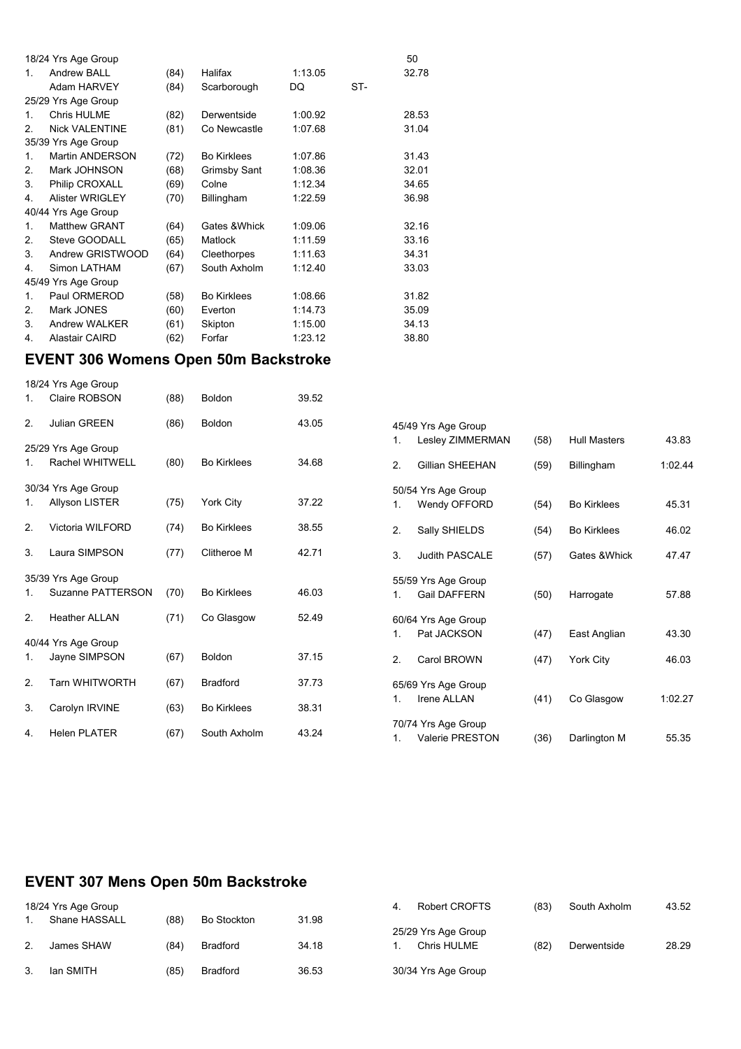|                | 18/24 Yrs Age Group   |      |                    |         |     | 50    |
|----------------|-----------------------|------|--------------------|---------|-----|-------|
| 1              | <b>Andrew BALL</b>    | (84) | Halifax            | 1:13.05 |     | 32.78 |
|                | Adam HARVEY           | (84) | Scarborough        | DQ      | ST- |       |
|                | 25/29 Yrs Age Group   |      |                    |         |     |       |
| 1.             | <b>Chris HULME</b>    | (82) | Derwentside        | 1:00.92 |     | 28.53 |
| $\mathcal{P}$  | <b>Nick VALENTINE</b> | (81) | Co Newcastle       | 1:07.68 |     | 31.04 |
|                | 35/39 Yrs Age Group   |      |                    |         |     |       |
| 1.             | Martin ANDERSON       | (72) | <b>Bo Kirklees</b> | 1:07.86 |     | 31.43 |
| 2.             | Mark JOHNSON          | (68) | Grimsby Sant       | 1:08.36 |     | 32.01 |
| 3.             | Philip CROXALL        | (69) | Colne              | 1:12.34 |     | 34.65 |
| 4.             | Alister WRIGLEY       | (70) | Billingham         | 1:22.59 |     | 36.98 |
|                | 40/44 Yrs Age Group   |      |                    |         |     |       |
| $\mathbf{1}$ . | Matthew GRANT         | (64) | Gates & Whick      | 1:09.06 |     | 32.16 |
| 2.             | Steve GOODALL         | (65) | Matlock            | 1:11.59 |     | 33.16 |
| 3.             | Andrew GRISTWOOD      | (64) | Cleethorpes        | 1:11.63 |     | 34.31 |
| 4.             | Simon LATHAM          | (67) | South Axholm       | 1:12.40 |     | 33.03 |
|                | 45/49 Yrs Age Group   |      |                    |         |     |       |
| 1.             | Paul ORMEROD          | (58) | <b>Bo Kirklees</b> | 1:08.66 |     | 31.82 |
| 2.             | Mark JONES            | (60) | Everton            | 1:14.73 |     | 35.09 |
| 3.             | Andrew WALKER         | (61) | Skipton            | 1:15.00 |     | 34.13 |
| 4.             | <b>Alastair CAIRD</b> | (62) | Forfar             | 1:23.12 |     | 38.80 |

#### **EVENT 306 Womens Open 50m Backstroke**

|    | 18/24 Yrs Age Group   |      |                    |       |                |                        |      |                     |         |
|----|-----------------------|------|--------------------|-------|----------------|------------------------|------|---------------------|---------|
| 1. | Claire ROBSON         | (88) | Boldon             | 39.52 |                |                        |      |                     |         |
| 2. | Julian GREEN          | (86) | <b>Boldon</b>      | 43.05 |                | 45/49 Yrs Age Group    |      |                     |         |
|    | 25/29 Yrs Age Group   |      |                    |       | 1.             | Lesley ZIMMERMAN       | (58) | <b>Hull Masters</b> | 43.83   |
| 1. | Rachel WHITWELL       | (80) | <b>Bo Kirklees</b> | 34.68 | 2.             | <b>Gillian SHEEHAN</b> | (59) | Billingham          | 1:02.44 |
|    | 30/34 Yrs Age Group   |      |                    |       |                | 50/54 Yrs Age Group    |      |                     |         |
| 1. | <b>Allyson LISTER</b> | (75) | <b>York City</b>   | 37.22 | 1.             | Wendy OFFORD           | (54) | <b>Bo Kirklees</b>  | 45.31   |
| 2. | Victoria WILFORD      | (74) | <b>Bo Kirklees</b> | 38.55 | 2.             | Sally SHIELDS          | (54) | <b>Bo Kirklees</b>  | 46.02   |
| 3. | Laura SIMPSON         | (77) | Clitheroe M        | 42.71 | 3.             | <b>Judith PASCALE</b>  | (57) | Gates & Whick       | 47.47   |
|    | 35/39 Yrs Age Group   |      |                    |       |                | 55/59 Yrs Age Group    |      |                     |         |
| 1. | Suzanne PATTERSON     | (70) | <b>Bo Kirklees</b> | 46.03 | 1 <sub>1</sub> | <b>Gail DAFFERN</b>    | (50) | Harrogate           | 57.88   |
| 2. | <b>Heather ALLAN</b>  | (71) | Co Glasgow         | 52.49 |                | 60/64 Yrs Age Group    |      |                     |         |
|    | 40/44 Yrs Age Group   |      |                    |       | $\mathbf{1}$ . | Pat JACKSON            | (47) | East Anglian        | 43.30   |
| 1. | Jayne SIMPSON         | (67) | <b>Boldon</b>      | 37.15 | 2.             | Carol BROWN            | (47) | York City           | 46.03   |
| 2. | <b>Tarn WHITWORTH</b> | (67) | <b>Bradford</b>    | 37.73 |                | 65/69 Yrs Age Group    |      |                     |         |
| 3. | Carolyn IRVINE        | (63) | <b>Bo Kirklees</b> | 38.31 | 1.             | Irene ALLAN            | (41) | Co Glasgow          | 1:02.27 |
| 4. | <b>Helen PLATER</b>   | (67) | South Axholm       | 43.24 |                | 70/74 Yrs Age Group    |      |                     |         |
|    |                       |      |                    |       | 1.             | <b>Valerie PRESTON</b> | (36) | Darlington M        | 55.35   |

# **EVENT 307 Mens Open 50m Backstroke**

| 18/24 Yrs Age Group |      |                    |       | 4. | Robert CROFTS       | (83) | South Axholm | 43.52 |
|---------------------|------|--------------------|-------|----|---------------------|------|--------------|-------|
| Shane HASSALL       | (88) | <b>Bo Stockton</b> | 31.98 |    |                     |      |              |       |
|                     |      |                    |       |    | 25/29 Yrs Age Group |      |              |       |
| James SHAW          | (84) | <b>Bradford</b>    | 34.18 |    | Chris HULME         | (82) | Derwentside  | 28.29 |
|                     |      |                    |       |    |                     |      |              |       |
| lan SMITH           | (85) | <b>Bradford</b>    | 36.53 |    | 30/34 Yrs Age Group |      |              |       |
|                     |      |                    |       |    |                     |      |              |       |